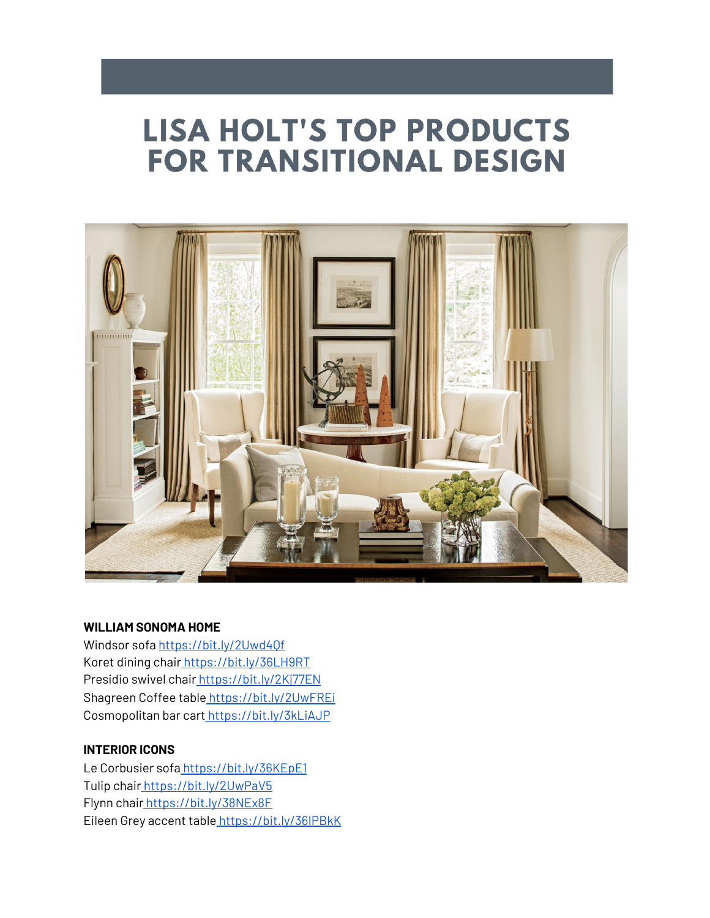# **LISA HOLT'S TOP PRODUCTS FOR TRANSITIONAL DESIGN**



#### **WILLIAM SONOMA HOME**

Windsor sofa <https://bit.ly/2Uwd4Qf> Koret dining chair [https://bit.ly/36LH9RT](https://www.youtube.com/redirect?redir_token=QUFFLUhqbGgzVW50RkNEOHRkcUtpaGVxUnNUSEIwbjUxZ3xBQ3Jtc0ttN29IcVEwNVlSWUFyeERnWFhKUldhQnFYNDMzUml2Q1NlSnhyLWg3em1MQzF2YmdnaTVCeXhGTkFLYXNHUTRUWFZZOWdZRWZiM0lwY05BVmhJb3ZyVWFYTXdWNXpIcFFjTlNORmNCT0tyR2JGNzM2WQ%3D%3D&q=https%3A%2F%2Fbit.ly%2F36LH9RT&event=video_description&v=ospwAzi_PcY) Presidio swivel chair [https://bit.ly/2Kj77EN](https://www.youtube.com/redirect?redir_token=QUFFLUhqbkVvbENURlgyNC1yRXNPeF9OQ2JTSlZkbHF0QXxBQ3Jtc0tsdXhrQTF1TnlPMmZEbU13UFVWQXNJb0pWWElMVmFLdFhSZmZKSGJMTURDR1dPalNCNHVnOXZUNkt4ZzZJTTRIeWV0NWxDLWVVSkNVTHpIQkVraWx5OGlzblFKSTBuYzQ1d3RDck1rOWVIWGx2bnJUMA%3D%3D&q=https%3A%2F%2Fbit.ly%2F2Kj77EN&event=video_description&v=ospwAzi_PcY) Shagreen Coffee table [https://bit.ly/2UwFREi](https://www.youtube.com/redirect?redir_token=QUFFLUhqblA2UV9zdWVad2VKQ2ZiQVJid1FOMS0tYmktUXxBQ3Jtc0ttdGNCbE5ITHRUWFZxME5NYjh0QUZDZ3pQaV9QMnp3XzhQSkNlbmxkTnBsTy14S2M5c0QxZDdEY0VxNDQxZFJmWHN4cUltbzZPMVJFdC1fMmZtM1ZocGUxcFMtUUxaNWVlUUtQR2ZzRk8wdnZ0RkEzOA%3D%3D&q=https%3A%2F%2Fbit.ly%2F2UwFREi&event=video_description&v=ospwAzi_PcY) Cosmopolitan bar cart [https://bit.ly/3kLiAJP](https://www.youtube.com/redirect?redir_token=QUFFLUhqa2JwWDBmdXNxRGZoU1hCNmVibGJsTUZ3am4tUXxBQ3Jtc0ttS3RDRUo3bXZLV0hzcUxtYzVJMVJPM1J5dWVJUkt3V2VQTVRyZ1cwWVI1ZUlpTTFVQnN3SnBPTmVtbGVaTkIxTFBSNEN0aU8yc0d1clNPbHU3OXhjbGswTDlMZG5LRkN2WjdiTTZJdERTNVNUalJMYw%3D%3D&q=https%3A%2F%2Fbit.ly%2F3kLiAJP&event=video_description&v=ospwAzi_PcY)

#### **INTERIOR ICONS**

Le Corbusier sofa [https://bit.ly/36KEpE1](https://www.youtube.com/redirect?redir_token=QUFFLUhqbnNRS3h1MG5GT3hZZmxMdUxMRXVLbFZ4T3FjZ3xBQ3Jtc0trVHFhZ3FpZmwyY2dKQkFmLU03ekxYQUN5Z0REMjlnREZ2NmJxNFRBcVQwcjVmUjVsRlNibEtVQTdCZV9UX1EzRkM1SHlHRm9Jb1lIb0Y0aENPSVZ3WS1yTmtpamFYOVRuNExTTW9RbXFLXzdlQVVIcw%3D%3D&q=https%3A%2F%2Fbit.ly%2F36KEpE1&event=video_description&v=ospwAzi_PcY) Tulip chair [https://bit.ly/2UwPaV5](https://www.youtube.com/redirect?redir_token=QUFFLUhqblcxYTJfSU5NaG5qaFY5dkltN3QtTXVwbXFLd3xBQ3Jtc0ttaFJZN1RCQjk1bks4SWVfcU9IbHFST24zSUI3eHBhLVoyN2xmN1JGLU4yUmdfNFJGcXBwN2ZQd1Zzc0pTT3pxR1pCTFZjSHpwOUg3eW9pR0FuM2dTYUw2MkV6OEZQeUNJdWxOMUxIQ2UyNmdKMnlZUQ%3D%3D&q=https%3A%2F%2Fbit.ly%2F2UwPaV5&event=video_description&v=ospwAzi_PcY) Flynn chair [https://bit.ly/38NEx8F](https://www.youtube.com/redirect?redir_token=QUFFLUhqblBsTy1XUGJOYktqcVNfT1NTV1NLZUh1WnlyZ3xBQ3Jtc0tuOVNscmo2WjBoUXgwZVQ3RFEwcHF6c2ZBVk4zd0ZSNGZzdll2b3BhNjRKdmw2cHZxYkVyRmtPaEFDclJFVWFwMGtRWHVnZGxXc2NNOUpjQjFZdnQxVi1iVUJwWDJWb0pNOEhlRW1hMFgzb2lJR2VCOA%3D%3D&q=https%3A%2F%2Fbit.ly%2F38NEx8F&event=video_description&v=ospwAzi_PcY) Eileen Grey accent table [https://bit.ly/36IPBkK](https://www.youtube.com/redirect?redir_token=QUFFLUhqbWJrRGU1MzBnRlhoY2YtU1NGMlJxNFU0RF8yQXxBQ3Jtc0ttRTdBbWtQRzdHZGoxQVQwc05BdWNVMHFCeEY1NnNVV0lQZUJ6OTFtQ0VhTG12S2QxdEdwNkt2YzVZQ2F4ZWxqUnNpak0zSnpfeGJOekJ4RVdZUmgwZ3RzYm1wTTh6Q3ozaVhBalduQV8tYjNSMHpTTQ%3D%3D&q=https%3A%2F%2Fbit.ly%2F36IPBkK&event=video_description&v=ospwAzi_PcY)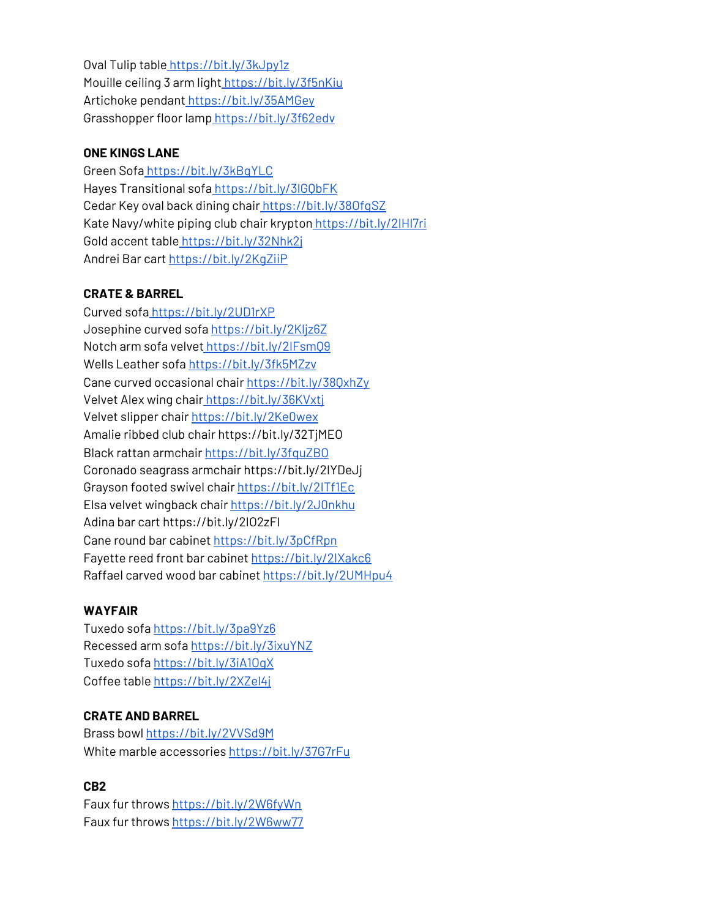Oval Tulip table [https://bit.ly/3kJpy1z](https://www.youtube.com/redirect?redir_token=QUFFLUhqbHlVQWtoaWtYLXhLamJBRG9vOG9IbDQ1a1M2d3xBQ3Jtc0ttaTlPRUVyM1c2ejZIWEU1WFM0QlFEWk5lRU5uOWZUMkdZSG56YWU5Q0ZscFpKU2Znem1KR1NYb3lERkh5UmxYTVltN1phbnEybUIxMDNuMDBMZkw2NUJmWFd1RkZTRnpjVFVHVklHSEtobldpTVFDWQ%3D%3D&q=https%3A%2F%2Fbit.ly%2F3kJpy1z&event=video_description&v=ospwAzi_PcY) Mouille ceiling 3 arm light [https://bit.ly/3f5nKiu](https://www.youtube.com/redirect?redir_token=QUFFLUhqbDdQRTdpLUFRWDFScVpESE11WU9kdlUxbE1vUXxBQ3Jtc0tsbng5Xzc1X2NwcXAtRVVlZFFNWS01bzN4aWh6QXVJZ2syRmkxZHp1OElabHYxQkdQejlPeUR2a3phWjBuVmFOUG04R0QySS1HcWo4MmN0Z0l0eXJZcWl1c1pQdlNaOVpOb0Y0VThNcWRoZlVmc25oQQ%3D%3D&q=https%3A%2F%2Fbit.ly%2F3f5nKiu&event=video_description&v=ospwAzi_PcY) Artichoke pendant [https://bit.ly/35AMGey](https://www.youtube.com/redirect?redir_token=QUFFLUhqbk1rUnVJSUVINE0zVFBNcGNjNWh4VHFaOGIzZ3xBQ3Jtc0trVklFdVpVSUktOVIweDBOWEVUcVJWTlJ5YldqekF1ellmZGxLN3RuTU8wNmNoYTN1alEzXzA2TzhNQWdWWkRFczZfRFJEck9SX050NmN1ZmlCc0xXdFRrZE1SUHYtSHFjT1hCT0RBVUFvMWZ3US1Pcw%3D%3D&q=https%3A%2F%2Fbit.ly%2F35AMGey&event=video_description&v=ospwAzi_PcY) Grasshopper floor lamp [https://bit.ly/3f62edv](https://www.youtube.com/redirect?redir_token=QUFFLUhqbHF6V0FBa1BweEJVS3EyejVBbmdlUWdPVVl2QXxBQ3Jtc0tuTnk0YmhFOFJpOVNvdXVaUDdZcnBIM0hGcVZsT1ZEMXFXdHF2dno1SnFKV0dnZWQyVGVvcUdkSlBJX2xpWk5XN2pVdmhjX0EwcHRpeXQ0QTgyRzN1Z181eGhyR19oamFLM3cxcWI4OHdlUk9lTlhkZw%3D%3D&q=https%3A%2F%2Fbit.ly%2F3f62edv&event=video_description&v=ospwAzi_PcY)

## **ONE KINGS LANE**

Green Sofa [https://bit.ly/3kBqYLC](https://www.youtube.com/redirect?redir_token=QUFFLUhqbGIyWkJGLWM4RU12TVFlZmdnc2g1ZGdxZEhCd3xBQ3Jtc0tscm5RWEowM3ZZaXhrcU92RjVPS3RUR2MwYmhoeTRKb0FwZjFBeENwUG1ORlVhUnFmLUQ4SHAweW9FTjRJdzNDbnhwRDBIajB0SkZGLVh6d0s0c2JpUjE1eWJZQ1djVE1OTHBldURZWkhsbDlUcThqTQ%3D%3D&q=https%3A%2F%2Fbit.ly%2F3kBqYLC&event=video_description&v=ospwAzi_PcY) Hayes Transitional sofa [https://bit.ly/3lGQbFK](https://www.youtube.com/redirect?redir_token=QUFFLUhqbVlfWXpvZDlfNTFJWHQ0ZzFmeFU5YmIySFJEZ3xBQ3Jtc0tuVlRTNlhqRDhjQzU2LXlEWlFzcXk1NUJBZVBLeEs1dkF4MmZTTE1kVWFxZEEyaW81cHl0ck9peTdHSTI2S3RHMFNWRUp2N1RTdXZTVXBMaEdaa0pkMW5MazI3SlpZLS1kYVZEaTJWREdqeG96dTJVUQ%3D%3D&q=https%3A%2F%2Fbit.ly%2F3lGQbFK&event=video_description&v=ospwAzi_PcY) Cedar Key oval back dining chair [https://bit.ly/38OfqSZ](https://www.youtube.com/redirect?redir_token=QUFFLUhqbTFNSTlrbDYydF9NQTdVQWNQZDRlTzdvNG11UXxBQ3Jtc0trZmZmUGtUV1B4ak12SF80T0thcElUdXVHN0RGby1SbEJCOEZOSUNqclpHZC1naTYxSEJoOWMtYURHYUtDdDZzYkpPeS1WcS1rZVh3Vk8xaE1hemZXUHhXX2s5dHdRS21nX1d2TWN5Q3psUHpqN2Jidw%3D%3D&q=https%3A%2F%2Fbit.ly%2F38OfqSZ&event=video_description&v=ospwAzi_PcY) Kate Navy/white piping club chair krypton https://bit.ly/2IHI7ri Gold accent table [https://bit.ly/32Nhk2j](https://www.youtube.com/redirect?redir_token=QUFFLUhqbXRGUzRZdHZTdzFJMmZlbk81Ty1LMDdSZno1UXxBQ3Jtc0tsUVZRWDFtUEllamM1cldoWm1xUHFoYWZRVmYwVEpuWFBiTzloSElESlBnRUJfMkVMYU9ZaTVwYlVYOU1wa3BqcG1hSEItMngtaG1wUUpZVmx6Y29GeXk4NGlqM0llSXUwQmdIZUNWbm5rQndOOWRSYw%3D%3D&q=https%3A%2F%2Fbit.ly%2F32Nhk2j&event=video_description&v=ospwAzi_PcY) Andrei Bar cart [https://bit.ly/2KgZiiP](https://www.youtube.com/redirect?redir_token=QUFFLUhqbXV4bC1zZUNRMlV1d3VLdXIwTXdIaVhSeURTUXxBQ3Jtc0trT3hYcm9VUGE3Tmx3N1pDRFJsNUVPZGtzUEI1QnVFTXNlLXFjTUVTTkh5ME13em1TTTdRTTB5UDd4SlUtRFc4YW1FenlCNUMxN1ZpOVAzNDFCNkFXQTZraFJqR1U1bEFfd0hmRHAxamUtYk5JSFFnaw%3D%3D&q=https%3A%2F%2Fbit.ly%2F2KgZiiP&event=video_description&v=ospwAzi_PcY)

# **CRATE & BARREL**

Curved sofa [https://bit.ly/2UD1rXP](https://www.youtube.com/redirect?redir_token=QUFFLUhqbW5BMnNjWEZmVnE2WmtpbjlXSkpQVUE5Nmp1QXxBQ3Jtc0trMFRaYXlNYXFjTDVpckphNURyTG5COEtPbjR3QVNhNlh3QUZLZE9yaWMtTFdVSC1SdG5NMFl1dmRwVzk3RVJ5RF9XdmJHVExUWjkzTVhlSXhPMjlNdWxvSFBoQmVWdXZmQ3czOUlQcXFaTnNSN1ZfQQ%3D%3D&q=https%3A%2F%2Fbit.ly%2F2UD1rXP&event=video_description&v=ospwAzi_PcY) Josephine curved sofa <https://bit.ly/2Kljz6Z> Notch arm sofa velvet [https://bit.ly/2IFsmQ9](https://www.youtube.com/redirect?redir_token=QUFFLUhqbWR4UFBSN2o5VmZZdTlYWi1XTjk1OTFnd19rZ3xBQ3Jtc0tuLUFLU1RPdFNOZDlaMVdCU1psX1FvbUVnWUNrNTMxX0N4ZVpKZE9hcGlkbHhuTnJrSWhtLVZPQ0ZXMTN4UjIxTURUSEl6UlEyYUxaOVRaRVhRODBiZFhJYV9lMWdDY0hJa1RvcXJzdWVZakxEdGFSQQ%3D%3D&q=https%3A%2F%2Fbit.ly%2F2IFsmQ9&event=video_description&v=ospwAzi_PcY) Wells Leather sof[a](https://www.youtube.com/redirect?redir_token=QUFFLUhqbC1HcXNxajA5cVNQTXpaTVY0eFFxbnVIdE5Nd3xBQ3Jtc0ttNUo1a1JkWTg2bmNjVjVlUUpsX0hMOTk2cFM0YUNueHYyQjExYmZWUTVzcUVuSEpaQ0J2anMxaDU5THRhQlltY2lGVHBJNVE0TVhUSVpSVXdwYmpBUFVjYjFOeW8taFF6S1ZnRnRDZkVtR3NsREVwSQ%3D%3D&q=https%3A%2F%2Fbit.ly%2F3fk5MZz&event=video_description&v=ospwAzi_PcY) <https://bit.ly/3fk5MZzv> Cane curved occasional chair <https://bit.ly/38QxhZy> Velvet Alex wing chair [https://bit.ly/36KVxtj](https://www.youtube.com/redirect?redir_token=QUFFLUhqbnVJcXdjUkxvbXVNZk1NWExxbDFuVk53NHdVd3xBQ3Jtc0ttdWVjaFJ6N1RKdFBrcGh3Wml2OUJSbXZXWk5GWU5NUU1pNGE1TllDQlNVT0k1d2RZSWxfMGs0cWQ4M3FkNENVNEUzb1ZuX3FaSHl3UHVqX1FyVTBxTjNJTy1XZTZ0N1VOMVB3ZzR0Ui1PdHIzRG5CZw%3D%3D&q=https%3A%2F%2Fbit.ly%2F36KVxtj&event=video_description&v=ospwAzi_PcY) Velvet slipper chai[r](https://www.youtube.com/redirect?redir_token=QUFFLUhqazEzV1o1aFBhTzlKLXVwV05Fa0ItWVVxRTkxUXxBQ3Jtc0ttejlRU1NvYlUyRUZaS25kQ2R3S0lsRkFENV9hbFdBa29FSEJUQkYtVjhJU3ZaeWU0bHZMMFdCTHVTbXFKbG5rZ3VCWmZZZUIxTXJTcWJLSTEyZW9MWUhQQmNxUkhsLXRLTWZBZzZOb2R5MjRNWnpXWQ%3D%3D&q=https%3A%2F%2Fbit.ly%2F2Ke0wex&event=video_description&v=ospwAzi_PcY) <https://bit.ly/2Ke0wex> Amalie ribbed club chai[r](https://www.youtube.com/redirect?redir_token=QUFFLUhqbktlVzJYOVpScnVCbnFEZVBkMGdHUmU2MTFYQXxBQ3Jtc0tsNkFnQmVGd2tnOUl0S3BYVFl3cnNxVkxybll3Z2d4dTZGckRRTmo4QTFQRnQ1MHd3WXdsd0w2eXF1Yk5EemUzRXNPVzFpalQ4UGNHNGgycmd5WmYzeV83dUZ1OGxhX21lTFZFYVZQWmxDLUpnTDM1cw%3D%3D&q=https%3A%2F%2Fbit.ly%2F32TjMEO&event=video_description&v=ospwAzi_PcY) <https://bit.ly/32TjMEO> Black rattan armchair <https://bit.ly/3fquZBO> Coronado seagrass armchair <https://bit.ly/2IYDeJj> Grayson footed swivel chair [https://bit.ly/2ITf1Ec](https://www.youtube.com/redirect?redir_token=QUFFLUhqbFVZbWFRU0JtZVJZTVhhLUJMcDNzLXRuTk1LZ3xBQ3Jtc0trMmhuUDRmcENCcDlSY3BsV0FWNGhYWFdnOE5tZ0ctNDY4eG03dlNDOEJtTl9kb1c5R0FXZENYN0NwcDFfcmthbHVFZmpFZ1RlTEhPMU9WcjRZbjBLMzRyOVphS2JpRWczaExGQV9LR29EamVFQjhKQQ%3D%3D&q=https%3A%2F%2Fbit.ly%2F2ITf1Ec&event=video_description&v=ospwAzi_PcY) Elsa velvet wingback chair [https://bit.ly/2J0nkhu](https://www.youtube.com/redirect?redir_token=QUFFLUhqa2YtckM2cWFXQndFeW9ZU3NHbHQtMUdJQktVUXxBQ3Jtc0ttVHpTVDVCMHEwV1I3bVFpMmZmdDdEVzU1WHlZVnlHdTllakYwZDJZNVRTcXJzN0ptaU5FRG5IR3NzcWZKUlhMUTNYYjRwamRUdUkteGVVX1JBTkVtRDRzUFZpSjA5N2FyejZzaEw0RHd2aXpfT013UQ%3D%3D&q=https%3A%2F%2Fbit.ly%2F2J0nkhu&event=video_description&v=ospwAzi_PcY) Adina bar car[t](https://www.youtube.com/redirect?redir_token=QUFFLUhqa2xoaks3RXRzREpzcVlmR3UwYzNXQ283UVN5Z3xBQ3Jtc0ttNjNRWGNLbThObWthdlNhYUtSSmwtc2o5MlVObW5COUZVbE9JN3NlMzZZSzE1RjJCaUctdGtuQk9KYnE3X1EyZTNzOTluc010NEhWbkpvaklnazJBcUNHS21uZ2NQbGpqRWtTSnA1UDgxLWlxSjRmTQ%3D%3D&q=https%3A%2F%2Fbit.ly%2F2IO2zFI&event=video_description&v=ospwAzi_PcY) <https://bit.ly/2IO2zFI> Cane round bar cabinet [https://bit.ly/3pCfRpn](https://www.youtube.com/redirect?redir_token=QUFFLUhqa0o1STI1S1pvX0VvMi1vN1RveHRhNHJaN2htZ3xBQ3Jtc0ttQjdLemxKNGFsR2lRZlA2ODZ6dk0zTzlwSlBwU0ljY00xZ0FORXg3NlZTS185ZVVJcUxUQWxNS1AtbUhERVpGY0tsUURfVnRSeEdsYWNWa0M2cGJ5dXZ3UnhUR2JQWjhpOW5vdHpDcklrSnY0LVJHcw%3D%3D&q=https%3A%2F%2Fbit.ly%2F3pCfRpn&event=video_description&v=ospwAzi_PcY) Fayette reed front bar cabine[t](https://www.youtube.com/redirect?redir_token=QUFFLUhqbG5mNVBsV0F0RGJWcDdlNnY4Z2FLZ203RUwyd3xBQ3Jtc0tscl85bHczLUtiZDIxTXVBYWR6by0weENZT1pTYmJMc09uQy1samFSSUdaWGJyWGZNMWdSRkEweUhQbHRMeXdKWi1zNzRjRUVwNElvdnBTVU5zc1lIOW1BNDhFX2EzVHF6b3JYRjN0S0dFcE5sdDY5NA%3D%3D&q=https%3A%2F%2Fbit.ly%2F2IXakc6&event=video_description&v=ospwAzi_PcY) <https://bit.ly/2IXakc6> Raffael carved wood bar cabinet <https://bit.ly/2UMHpu4>

# **WAYFAIR**

Tuxedo sofa <https://bit.ly/3pa9Yz6> Recessed arm sofa <https://bit.ly/3ixuYNZ> Tuxedo sofa <https://bit.ly/3iA1OgX> Coffee table <https://bit.ly/2XZel4j>

# **CRATE AND BARREL**

Brass bowl <https://bit.ly/2VVSd9M> White marble accessories <https://bit.ly/37G7rFu>

# **CB2**

Faux fur throws <https://bit.ly/2W6fyWn> Faux fur throws <https://bit.ly/2W6ww77>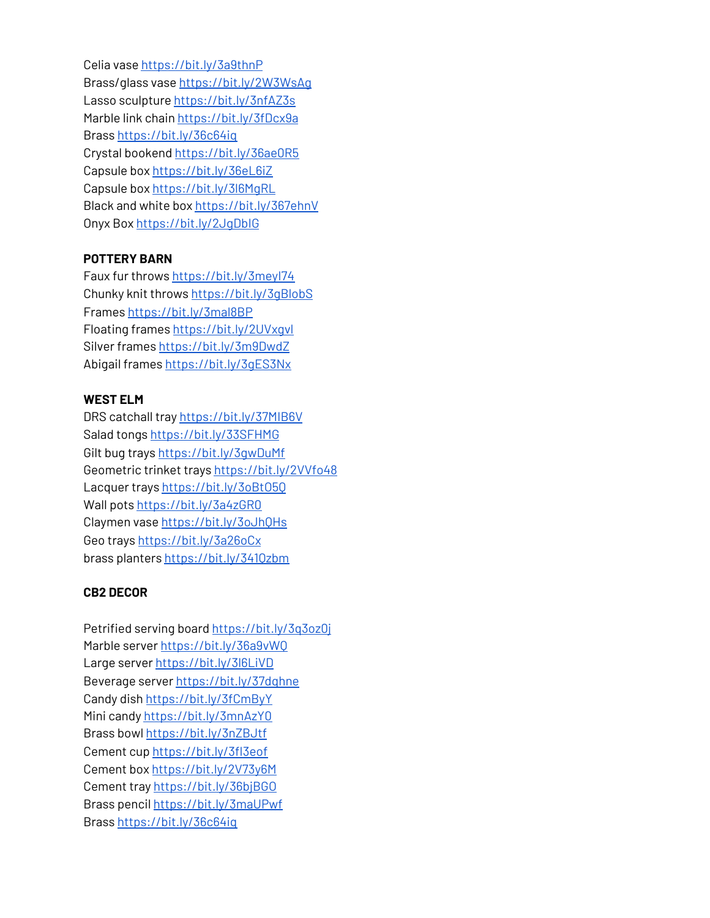Celia vase <https://bit.ly/3a9thnP> Brass/glass vase <https://bit.ly/2W3WsAg> Lasso sculpture <https://bit.ly/3nfAZ3s> Marble link chain <https://bit.ly/3fDcx9a> Brass <https://bit.ly/36c64iq> Crystal bookend <https://bit.ly/36ae0R5> Capsule box <https://bit.ly/36eL6iZ> Capsule box <https://bit.ly/3l6MgRL> Black and white box <https://bit.ly/367ehnV> Onyx Box <https://bit.ly/2JgDbIG>

## **POTTERY BARN**

Faux fur throws <https://bit.ly/3meyI74> Chunky knit throws <https://bit.ly/3gBlobS> Frames <https://bit.ly/3mal8BP> Floating frames <https://bit.ly/2UVxgvl> Silver frames <https://bit.ly/3m9DwdZ> Abigail frames <https://bit.ly/3gES3Nx>

#### **WEST ELM**

DRS catchall tray <https://bit.ly/37MIB6V> Salad tongs <https://bit.ly/33SFHMG> Gilt bug trays <https://bit.ly/3gwDuMf> Geometric trinket trays <https://bit.ly/2VVfo48> Lacquer trays <https://bit.ly/3oBtO5Q> Wall pots <https://bit.ly/3a4zGR0> Claymen vase <https://bit.ly/3oJhQHs> Geo trays <https://bit.ly/3a26oCx> brass planters <https://bit.ly/341Qzbm>

## **CB2 DECOR**

Petrified serving board [https://bit.ly/3q3oz0j](https://www.youtube.com/redirect?event=video_description&redir_token=QUFFLUhqbGVRdGU5TXFJS21hM1h4LXk3b0x1N1Y3WjRyUXxBQ3Jtc0tuWmNCQ1Q2eVV0NFFGanhsOVFCRUpGc2hsbTUwWG8wSUxnQzJMc195MC1ZT2UzZUxLM0pKSjNoMnI3Yk1QQURrSmdKS1lPaU45eEhzVjQ5RHpMcWVqdEl1ZE95SHNjLXF3Qmxicm55eS1BMDhuV2NhNA&q=https%3A%2F%2Fbit.ly%2F3q3oz0j) Marble server [https://bit.ly/36a9vWQ](https://www.youtube.com/redirect?event=video_description&redir_token=QUFFLUhqbHNHclhBeUhla1plUkJHZlYzbWUyX3JZSEtjQXxBQ3Jtc0ttVlYxRmVCTWpGQzE2eHcySUVtb2ppNlNadC1XN014bTBOSmM5WGlMYlV6OHNlT2F4Zkd3dVdxVktxR0hkNEFuNTVCd1ZzM2Vla3k0M2xpOGl1X0I1OXZIUnVBMXVNZUdpY05FZWZNTFJUcU9PdVlSZw&q=https%3A%2F%2Fbit.ly%2F36a9vWQ) La[r](https://www.youtube.com/redirect?event=video_description&redir_token=QUFFLUhqa0k4aDBDQzFMSlpSX2F3eFlwWGRuMmdZQm1sUXxBQ3Jtc0tsR1JyVlJCd2RMQUw3TzBrNnAxMUF4Wm1GbFJsUm1mV3VYOFhOUHdCd0dBUDhPNTRKVzlFRnJoQ0gwQmM1ajFuSWlnaUV4bzZ3Y2Y1NndXOHRpLVAxZXhPU1JneGtrUzBiVDMxRFBabHE1U0dDZkF3NA&q=https%3A%2F%2Fbit.ly%2F3l6LiVD)ge server [https://bit.ly/3l6LiVD](https://www.youtube.com/redirect?event=video_description&redir_token=QUFFLUhqa0k4aDBDQzFMSlpSX2F3eFlwWGRuMmdZQm1sUXxBQ3Jtc0tsR1JyVlJCd2RMQUw3TzBrNnAxMUF4Wm1GbFJsUm1mV3VYOFhOUHdCd0dBUDhPNTRKVzlFRnJoQ0gwQmM1ajFuSWlnaUV4bzZ3Y2Y1NndXOHRpLVAxZXhPU1JneGtrUzBiVDMxRFBabHE1U0dDZkF3NA&q=https%3A%2F%2Fbit.ly%2F3l6LiVD) Beverage serve[r](https://www.youtube.com/redirect?event=video_description&redir_token=QUFFLUhqbnkySEppV2lSOW5QOWpFV0xqNTlCYUFnZUZWUXxBQ3Jtc0ttdFI4dGgtNzdESnZGbXNzQ0YtTDNQMTdyN0p2cEcxcktyMWJPbE1kOUJBMTdTcDlYOWRHNENqNGU0SlhoRlBwWlM2dy1zMVNpVjl5ZUZXNTBITGhOWVB6Mm0tOVpBTC05SUxzcHkwZU5sbzh0RG11SQ&q=https%3A%2F%2Fbit.ly%2F37dqhne) [https://bit.ly/37dqhne](https://www.youtube.com/redirect?event=video_description&redir_token=QUFFLUhqbnkySEppV2lSOW5QOWpFV0xqNTlCYUFnZUZWUXxBQ3Jtc0ttdFI4dGgtNzdESnZGbXNzQ0YtTDNQMTdyN0p2cEcxcktyMWJPbE1kOUJBMTdTcDlYOWRHNENqNGU0SlhoRlBwWlM2dy1zMVNpVjl5ZUZXNTBITGhOWVB6Mm0tOVpBTC05SUxzcHkwZU5sbzh0RG11SQ&q=https%3A%2F%2Fbit.ly%2F37dqhne) Candy dish [https://bit.ly/3fCmByY](https://www.youtube.com/redirect?event=video_description&redir_token=QUFFLUhqbW1uZmRtdWl6MWZkMlV4Qk9jQnB1YThzcHFLQXxBQ3Jtc0ttRGFjTDcwa3dNX1VxMktMN0luQ240YTdfelFoY3cwNk1mcGY5amdEal9Mcm9pS0Q5c3NLSXlHajRPOXpkbEVhSlVvX0N1R19OcTZhQnhSZHVpX0EyUk1kVVI5Z2JiRWZoWk9jelNmVWRlVmR6eW93TQ&q=https%3A%2F%2Fbit.ly%2F3fCmByY) Mini candy [https://bit.ly/3mnAzY0](https://www.youtube.com/redirect?event=video_description&redir_token=QUFFLUhqbmhSSGpiUE9TS1dqS2pmbjNEWThNeDgzUmFpZ3xBQ3Jtc0trMU83OU54d2FxbTh2UndOWGtNT3J5amQ4X08temdIS0l5alIzN0o2bmVnQU8weGhBRi1GT3JTUnVVQ3NBVEVrZWxlS0RCYlpKdlltelNsR0JJUE9tZkw5U041OF8xQjFkTFlGUHNuMjFMUkl3cU1HSQ&q=https%3A%2F%2Fbit.ly%2F3mnAzY0) Brass bowl [https://bit.ly/3nZBJtf](https://www.youtube.com/redirect?event=video_description&redir_token=QUFFLUhqbEh4TGNMZVR4ajd5SkF1ZHdqMklHeGRYY2E5QXxBQ3Jtc0tsVWZ4ZTR1NXVvVnd0aWFIXzhWTlZTaW1HbHpCQnEtZ19lQWFPNWpMLXB2cXBKRms2SFMtejJxZEJkT0oxdXozVjUxM29pSUJHNzJDOW5YTUVHWnVMT2lDeDVsdTZ0d1E4NVJEYmxKLUluNTk0dlhLbw&q=https%3A%2F%2Fbit.ly%2F3nZBJtf) Cement cu[p](https://www.youtube.com/redirect?event=video_description&redir_token=QUFFLUhqbVRuWGRzNHhzY1FQQlVVTGRFRTkwZ0Q2UlRtUXxBQ3Jtc0tsUEJlTlRQR3htcVdjSnZ3anRGUEpRM2REdXZYNU1uM2cwXzlIdm90dmpESkxCS0lZbUVkcUh6d3dwaVdrLVdMWE8tQjdWc2RHY2Zhb09lUUYzdmM0Z29aOWE4X2xiOHVzTzY0MEJpVm9SWUxxVWp2SQ&q=https%3A%2F%2Fbit.ly%2F3fI3eof) [https://bit.ly/3fI3eof](https://www.youtube.com/redirect?event=video_description&redir_token=QUFFLUhqbVRuWGRzNHhzY1FQQlVVTGRFRTkwZ0Q2UlRtUXxBQ3Jtc0tsUEJlTlRQR3htcVdjSnZ3anRGUEpRM2REdXZYNU1uM2cwXzlIdm90dmpESkxCS0lZbUVkcUh6d3dwaVdrLVdMWE8tQjdWc2RHY2Zhb09lUUYzdmM0Z29aOWE4X2xiOHVzTzY0MEJpVm9SWUxxVWp2SQ&q=https%3A%2F%2Fbit.ly%2F3fI3eof) Cement box [https://bit.ly/2V73y6M](https://www.youtube.com/redirect?event=video_description&redir_token=QUFFLUhqa1p5S0VRTVRxcTZlOXQ3X2FYS1BrT2FNNW9nd3xBQ3Jtc0tsTW41SjhjaVZaV0djT1Z4MEpTWHVyOGk4em13U0xjZ3ZuT2pucW5pTGpnR3E1VGk4Y3JSNFQ1NWpzMHlTWWxaMWFia1ItUV9XR1M3RlNrd1hjYUlHMXdremxHZE9CRVpQZTItZnZaX1JJNE5fNkdIaw&q=https%3A%2F%2Fbit.ly%2F2V73y6M) Cement tray [https://bit.ly/36bjBGO](https://www.youtube.com/redirect?event=video_description&redir_token=QUFFLUhqa1VITDRaVlZsWkRhMVZJYVBBYk1WQzJFdkxaZ3xBQ3Jtc0tscVFxdFcwZ21Kay02dVRUeElCOGRBVEQ4ZGNubldxaXdvdEtrMzROQW1Cd1l6YVVKVnVsUThQeUJrZzJyQzdPUDgtVW9idUVvQmRjR1B2bEpTOXV4Nm5CQmxyUm9EMG9OVEE3OGhVeUIta0Z5R1AxQQ&q=https%3A%2F%2Fbit.ly%2F36bjBGO) Brass penci[l](https://www.youtube.com/redirect?event=video_description&redir_token=QUFFLUhqbXg4V3cyd2Jkd3k3WlhSU1IwUy1LWkEzSW05Z3xBQ3Jtc0tsRll1eW9VellkVmRxU1kwUlhmZVc5NVI4cGlBTVl1czhvTmo3U0dDV3lFT2FMYUJQWFlqLUR1aUNpbkRTam5JNUdTbElUSEQ5ZmdFeGtONk5ZWHRPN0hHcktkMm5zNnlJZXA1bWRaZTNabFVBMEFqSQ&q=https%3A%2F%2Fbit.ly%2F3maUPwf) [https://bit.ly/3maUPwf](https://www.youtube.com/redirect?event=video_description&redir_token=QUFFLUhqbXg4V3cyd2Jkd3k3WlhSU1IwUy1LWkEzSW05Z3xBQ3Jtc0tsRll1eW9VellkVmRxU1kwUlhmZVc5NVI4cGlBTVl1czhvTmo3U0dDV3lFT2FMYUJQWFlqLUR1aUNpbkRTam5JNUdTbElUSEQ5ZmdFeGtONk5ZWHRPN0hHcktkMm5zNnlJZXA1bWRaZTNabFVBMEFqSQ&q=https%3A%2F%2Fbit.ly%2F3maUPwf) Bras[s](https://www.youtube.com/redirect?event=video_description&redir_token=QUFFLUhqbmduODNJQWFrYkhHZ2pNLXNJdU9LWXlOWkVzd3xBQ3Jtc0trek52bC03alJjTFJYS2Y0SVk0elM0S0E0cURaWVNTNUtGNVVWQ0JTb2lCanNfclozUWh3bVAwd3ZPaFpwV0hhanBUd1Rxak9kVjlfQnZpWlpTdHc4YVdMZnFmbVFmVUowNlgweERicXFQZnhGMTg1cw&q=https%3A%2F%2Fbit.ly%2F36c64iq) [https://bit.ly/36c64iq](https://www.youtube.com/redirect?event=video_description&redir_token=QUFFLUhqbmduODNJQWFrYkhHZ2pNLXNJdU9LWXlOWkVzd3xBQ3Jtc0trek52bC03alJjTFJYS2Y0SVk0elM0S0E0cURaWVNTNUtGNVVWQ0JTb2lCanNfclozUWh3bVAwd3ZPaFpwV0hhanBUd1Rxak9kVjlfQnZpWlpTdHc4YVdMZnFmbVFmVUowNlgweERicXFQZnhGMTg1cw&q=https%3A%2F%2Fbit.ly%2F36c64iq)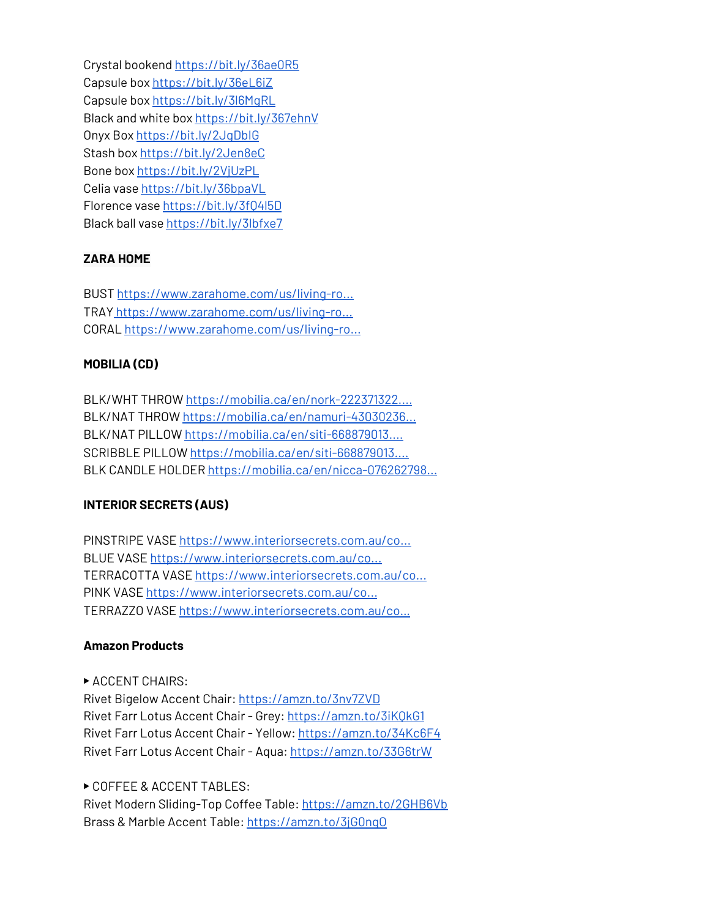Crystal booken[d](https://www.youtube.com/redirect?event=video_description&redir_token=QUFFLUhqazVYd1ItVlRfc3lwa1lFTmlaamN0MnJrWG52QXxBQ3Jtc0trd2V4TmhzdEdsQ2xIZzBtLVBrSWJDWk5JSlZjeUtSY3Fxczl2ZkdzV0JLRmNXNkx3cUw0VjU2dEUyVmVRUUZ2RExiY25tY0V6NjA1YTd6ZElFVWxpcWdkWTEybmE2RXZBV2ttV0pxWW1McHo0Skcxdw&q=https%3A%2F%2Fbit.ly%2F36ae0R5) [https://bit.ly/36ae0R5](https://www.youtube.com/redirect?event=video_description&redir_token=QUFFLUhqazVYd1ItVlRfc3lwa1lFTmlaamN0MnJrWG52QXxBQ3Jtc0trd2V4TmhzdEdsQ2xIZzBtLVBrSWJDWk5JSlZjeUtSY3Fxczl2ZkdzV0JLRmNXNkx3cUw0VjU2dEUyVmVRUUZ2RExiY25tY0V6NjA1YTd6ZElFVWxpcWdkWTEybmE2RXZBV2ttV0pxWW1McHo0Skcxdw&q=https%3A%2F%2Fbit.ly%2F36ae0R5) Capsule bo[x](https://www.youtube.com/redirect?event=video_description&redir_token=QUFFLUhqbmtKdnNTWTluRXRxOHg0Ul82ZmQzUUo1OVptQXxBQ3Jtc0tuRU5jTkpUNkVuUkdXV055NUVfeTJSZko1bEFOcUxNckE5WDYwNmI1b2ozaHNQM0RoYXlQcnBDOTRxSU1oUjZrS05tWjROdmtud2F4NUMtMnBxeXlUamJlWnk3b0NrMEtXaVFJZTZKMTh4dXB2Nk9qRQ&q=https%3A%2F%2Fbit.ly%2F36eL6iZ) [https://bit.ly/36eL6iZ](https://www.youtube.com/redirect?event=video_description&redir_token=QUFFLUhqbmtKdnNTWTluRXRxOHg0Ul82ZmQzUUo1OVptQXxBQ3Jtc0tuRU5jTkpUNkVuUkdXV055NUVfeTJSZko1bEFOcUxNckE5WDYwNmI1b2ozaHNQM0RoYXlQcnBDOTRxSU1oUjZrS05tWjROdmtud2F4NUMtMnBxeXlUamJlWnk3b0NrMEtXaVFJZTZKMTh4dXB2Nk9qRQ&q=https%3A%2F%2Fbit.ly%2F36eL6iZ) Capsule bo[x](https://www.youtube.com/redirect?event=video_description&redir_token=QUFFLUhqbGdZVTdLalJWeUJJTlpsSm5Rd1hPYnFpT0xQQXxBQ3Jtc0ttWHR3SWdlSnhDeFdNbjZUT010cUdBN3RITXZaSkZOZWtsb3U3bGRIZzk1dXhoUk16RGwzQ2RHbGU2ZlZMYlNrbXhuVVQ2VkIxUVRYMURqNENMdThmWndMR3lhZndQUTNkOXdaTnp3MUYySkJodVpfYw&q=https%3A%2F%2Fbit.ly%2F3l6MgRL) [https://bit.ly/3l6MgRL](https://www.youtube.com/redirect?event=video_description&redir_token=QUFFLUhqbGdZVTdLalJWeUJJTlpsSm5Rd1hPYnFpT0xQQXxBQ3Jtc0ttWHR3SWdlSnhDeFdNbjZUT010cUdBN3RITXZaSkZOZWtsb3U3bGRIZzk1dXhoUk16RGwzQ2RHbGU2ZlZMYlNrbXhuVVQ2VkIxUVRYMURqNENMdThmWndMR3lhZndQUTNkOXdaTnp3MUYySkJodVpfYw&q=https%3A%2F%2Fbit.ly%2F3l6MgRL) Black and white bo[x](https://www.youtube.com/redirect?event=video_description&redir_token=QUFFLUhqbElIc2YzbE9GSkIwU3pHOTVYdl84R3o3aGRYUXxBQ3Jtc0tsX0lqV013WUpzb3RDZzkwYU04ZE11NnQycV84c0txeHFUYmpqMXpnOURnZDZTOW1Qdy10NWtnSE5FQjNOUGpmZ2pFWXVmc2xFX1c0Rk9KdjdNNVVIaEFpV25uUlNPZGNBYTE4UmdRZFpWaVRwY1JLQQ&q=https%3A%2F%2Fbit.ly%2F367ehnV) [https://bit.ly/367ehnV](https://www.youtube.com/redirect?event=video_description&redir_token=QUFFLUhqbElIc2YzbE9GSkIwU3pHOTVYdl84R3o3aGRYUXxBQ3Jtc0tsX0lqV013WUpzb3RDZzkwYU04ZE11NnQycV84c0txeHFUYmpqMXpnOURnZDZTOW1Qdy10NWtnSE5FQjNOUGpmZ2pFWXVmc2xFX1c0Rk9KdjdNNVVIaEFpV25uUlNPZGNBYTE4UmdRZFpWaVRwY1JLQQ&q=https%3A%2F%2Fbit.ly%2F367ehnV) Onyx Box [https://bit.ly/2JgDbIG](https://www.youtube.com/redirect?event=video_description&redir_token=QUFFLUhqbTVlbTVobzN4SXRKaWFOWXVRX1FULXgweEVWQXxBQ3Jtc0trbnZpZnpMM0VWUlFNaGJrSzZlaVo0eFFUUVY4QzI4eDZ3QXJRTlhXcldISEdNQ1Bjd1RJR1RyVmZERlhHSWRINzJnRERzUGtaMXJNRlRFUW5FVEx5Umc5cWRhUThIOTBERkttcm9YRWtiMkdRSzVyZw&q=https%3A%2F%2Fbit.ly%2F2JgDbIG) Stash bo[x](https://www.youtube.com/redirect?event=video_description&redir_token=QUFFLUhqa0pNejNOT19lRHY3czVXZ1ZnY0lIVHpXUVF4QXxBQ3Jtc0trdTdyLWlKc0hVTTZ5WngzVnIyYkRWNnpkbnlvODBJMFVKTmg1WThQeEk5cXZ0UGZkSDdzM25PRHcyZkNudnRaSnNmeGlPQUZRUjdqVjhGTkotejN6Zlp5QU1sdlpLNXVzcFNmR0NRUVhORm54ZjUyYw&q=https%3A%2F%2Fbit.ly%2F2Jen8eC) [https://bit.ly/2Jen8eC](https://www.youtube.com/redirect?event=video_description&redir_token=QUFFLUhqa0pNejNOT19lRHY3czVXZ1ZnY0lIVHpXUVF4QXxBQ3Jtc0trdTdyLWlKc0hVTTZ5WngzVnIyYkRWNnpkbnlvODBJMFVKTmg1WThQeEk5cXZ0UGZkSDdzM25PRHcyZkNudnRaSnNmeGlPQUZRUjdqVjhGTkotejN6Zlp5QU1sdlpLNXVzcFNmR0NRUVhORm54ZjUyYw&q=https%3A%2F%2Fbit.ly%2F2Jen8eC) Bone bo[x](https://www.youtube.com/redirect?event=video_description&redir_token=QUFFLUhqbWNET0FiMHpoTUV2OWZOdkFvbnFsOUJ3YnBBUXxBQ3Jtc0tuUGp0eFFFQ25obEN6LUhXOWdHQzBINS1TYnBjdjhSZGJBX2hIOGplcWhQSE1GV0hoTHF6Zk1XVWh5R3lPVk9KYmtVZVprVVptTmJNVXpWVjRITnNrMWkxRUVEVWhhZF9wakIwYl9lX1lRRUFUeVNQWQ&q=https%3A%2F%2Fbit.ly%2F2VjUzPL) [https://bit.ly/2VjUzPL](https://www.youtube.com/redirect?event=video_description&redir_token=QUFFLUhqbWNET0FiMHpoTUV2OWZOdkFvbnFsOUJ3YnBBUXxBQ3Jtc0tuUGp0eFFFQ25obEN6LUhXOWdHQzBINS1TYnBjdjhSZGJBX2hIOGplcWhQSE1GV0hoTHF6Zk1XVWh5R3lPVk9KYmtVZVprVVptTmJNVXpWVjRITnNrMWkxRUVEVWhhZF9wakIwYl9lX1lRRUFUeVNQWQ&q=https%3A%2F%2Fbit.ly%2F2VjUzPL) Celia vase [https://bit.ly/36bpaVL](https://www.youtube.com/redirect?event=video_description&redir_token=QUFFLUhqbjJ0Sl9PSTh2OTIwSWlFc0pTUUxXOVRmcjBMZ3xBQ3Jtc0tsbXVIV3dHT2RIclBVazdqcmtBbUI3d0xxQmJ1VkVWal9KR0RwWUdobE5ldjItRmlqVjZtdTlUdWRqNlFfYmQxemsyMHRwanR2TTJXV29mRkxIdE9ENTlvVElXUkJGZ0RpZlVLenpmcE5fa19zeHdrMA&q=https%3A%2F%2Fbit.ly%2F36bpaVL) Florence vas[e](https://www.youtube.com/redirect?event=video_description&redir_token=QUFFLUhqbFJsb3FCb2Y5cXRycHltRl9sTFlNN1VYX1puZ3xBQ3Jtc0ttVlNjY0VVWkt1eEtGUTBTa1QzeTg4M3dNbGN0dDBlaURPdVpjQ0pJTUh1SEl6WnhORUpYcWpaSmJpUHY4aFZhSVNpdHNuanBDQTVrZ3hGT29lX2REbTdZX1NJVVAwTnZIZjJGVllCSDQwN2N2ZGtLcw&q=https%3A%2F%2Fbit.ly%2F3fQ4l5D) [https://bit.ly/3fQ4l5D](https://www.youtube.com/redirect?event=video_description&redir_token=QUFFLUhqbFJsb3FCb2Y5cXRycHltRl9sTFlNN1VYX1puZ3xBQ3Jtc0ttVlNjY0VVWkt1eEtGUTBTa1QzeTg4M3dNbGN0dDBlaURPdVpjQ0pJTUh1SEl6WnhORUpYcWpaSmJpUHY4aFZhSVNpdHNuanBDQTVrZ3hGT29lX2REbTdZX1NJVVAwTnZIZjJGVllCSDQwN2N2ZGtLcw&q=https%3A%2F%2Fbit.ly%2F3fQ4l5D) Black ball vas[e](https://www.youtube.com/redirect?event=video_description&redir_token=QUFFLUhqa0x6eHlHbHBQYXMzVG5POVdHbGJCUFNJSUxIUXxBQ3Jtc0tuN1JSYXAycE5RZkhHVThHZUhHR0dWMlZtQVRTSXRGMXRIdEJpd19EbG55a2ViRUFuSHpZYnlzZm1aOXZuUmhXcHlUcUt4czNxRkhicDNnYV95TGw3TldpMXdYN1dxZGl4SUpmby1KdlQ0bEp0cmY1dw&q=https%3A%2F%2Fbit.ly%2F3lbfxe7) [https://bit.ly/3lbfxe7](https://www.youtube.com/redirect?event=video_description&redir_token=QUFFLUhqa0x6eHlHbHBQYXMzVG5POVdHbGJCUFNJSUxIUXxBQ3Jtc0tuN1JSYXAycE5RZkhHVThHZUhHR0dWMlZtQVRTSXRGMXRIdEJpd19EbG55a2ViRUFuSHpZYnlzZm1aOXZuUmhXcHlUcUt4czNxRkhicDNnYV95TGw3TldpMXdYN1dxZGl4SUpmby1KdlQ0bEp0cmY1dw&q=https%3A%2F%2Fbit.ly%2F3lbfxe7)

## **ZARA HOME**

BUST [https://www.zarahome.com/us/living-ro...](https://www.youtube.com/redirect?event=video_description&redir_token=QUFFLUhqazllSDkwX0p6bFM3WnAzRjVOWTZQTEhFN18tUXxBQ3Jtc0trNUtHWmpkRjlFS1FESlkxVFRzS2tPLXhyN3lnSnhQWkJ6Ni1nY0QyVjEtNHIzMm4xMjhCdnFVNDBXYzJOckMxU1Z3OGVia0NMOE9SeHpMNEYtS3VFb3JfRkp1cGlkTk12YVVNMk9OVTV3NTcySzZvRQ&q=https%3A%2F%2Fwww.zarahome.com%2Fus%2Fliving-room%2Fdecor-accessories%2F%C2%A0decorative-bust-c1090529p301723094.html%3Frel%3Dtrue%C2%A0) TRAY [https://www.zarahome.com/us/living-ro...](https://www.youtube.com/redirect?event=video_description&redir_token=QUFFLUhqbGNaNVJpQVJZLVVCMHlpUU95ZDdkS3h6QUU2Z3xBQ3Jtc0trNUxzOEpVdWhRWkpGMzBLUW5vcmZ1MVhhVVJEOUtUSXFPcC1FNXg2cjJEVE9BR0doa1Y4NDktTVp2MmtDRzVnbm5hSnJxWWJuRVI1R0w3Y3lydDVZa2RvVzgxaXVYVXFfSmVSYjE1QjV3cmNVM2VYUQ&q=https%3A%2F%2Fwww.zarahome.com%2Fus%2Fliving-room%2Fdecor-accessories%2Fdecorative-agate-tray-c1090529p301746954.html%3Fct%3Dtrue) CORAL [https://www.zarahome.com/us/living-ro...](https://www.youtube.com/redirect?event=video_description&redir_token=QUFFLUhqazNETHI5WU5qU0VuN0g2YXk4MDBWdEZLaFNQZ3xBQ3Jtc0tuakkya2NMR09IVTd2WFhnOHMwUko2SzZScXZWUlF1RU4weFNtazBSMGZEQzFSRnZRREZtQjk4MlZJeHRKdm41NFMtYk1Va2JERExTNDB5Q29Uc0NyMHpld3BnUGFxb1RYQUxEbXlnUU5pd0V4NzdFVQ&q=https%3A%2F%2Fwww.zarahome.com%2Fus%2Fliving-room%2Fdecor-accessories%2F%C2%A0coral-decoration-c1090529p301723118.html%3Frel%3Dtrue%C2%A0)

## **MOBILIA (CD)**

BLK/WHT THROW [https://mobilia.ca/en/nork-222371322....](https://www.youtube.com/redirect?event=video_description&redir_token=QUFFLUhqbnJhY0J0eVY4ajcxeTFxTU5tb0hCb3FZVER2d3xBQ3Jtc0ttd2ctcmtMYWJfTVF4dFJWMnpNZUk3QXQyRjJvaktTQlYxSXRRdmx0UlRGUWhjQldsSDMydFhTcW9fY2NBX0FsNVRBX2FENFFyTjR2cHNBaGU5YW1xR19hYkYyT1A0Y3FPdFl1MEtIVGowRlctNmVvaw&q=https%3A%2F%2Fmobilia.ca%2Fen%2Fnork-222371322.html%C2%A0) BLK/NAT THROW [https://mobilia.ca/en/namuri-43030236...](https://www.youtube.com/redirect?event=video_description&redir_token=QUFFLUhqbDNqTXQ2VVBpeUtzVlc5c3k0aGJBNWg5R3NfZ3xBQ3Jtc0ttU1F1SDFEU1dZMHRwN0NTVHBiem1VMnpLMF9LWUtxTkRNRzB3RGx6MnYzaU5fT19KZ3NCUnc3QkxQOUl5U094d3JQRXF4dmlTcklwcTczeVRaam95aEZBemphdkVqc0dicHhfUTZ6S1NvZ0U4TUlubw&q=https%3A%2F%2Fmobilia.ca%2Fen%2Fnamuri-430302361.html%C2%A0) BLK/NAT PILLOW [https://mobilia.ca/en/siti-668879013....](https://www.youtube.com/redirect?event=video_description&redir_token=QUFFLUhqbTNndGhpRWJFdmZBZlQ0b1dJLXh4aF9GNHRpUXxBQ3Jtc0tsSkd5Tll3T1RxTFlqSDlTSWdJSjhWdXc3YlQ3cWNwY3JIMXNaODlRSDJ6QV9jNU9COHI2ZWxGaHFCUHhwVHB6NFFUd3lrelRHazk5ZnNvWTZ0UWtaazJaT1B5SVBHSDJ1eGVlS1dSUGRBVGFWd0VFTQ&q=https%3A%2F%2Fmobilia.ca%2Fen%2Fsiti-668879013.html%C2%A0) SCRIBBLE PILLOW [https://mobilia.ca/en/siti-668879013....](https://www.youtube.com/redirect?event=video_description&redir_token=QUFFLUhqa2ZRMHRvUjd1Mkpwa2dTdjhqR1FFOVBMU1dtZ3xBQ3Jtc0tsLVAwSWR0YmRhQ1RpQXRvRXE3azh1UHg2RDNRSUplUm4zMmk4S2tSeklrWWdtRWVHbzhVZjR1SU9EWERfVFF3Uk5odXk4OUEzUjU1Q0VfZ19NQTZhSzY5WW9VMWIwcTdMMHB6VExFa2pQM1ZZNGdscw&q=https%3A%2F%2Fmobilia.ca%2Fen%2Fsiti-668879013.html%C2%A0) BLK CANDLE HOLDER [https://mobilia.ca/en/nicca-076262798...](https://www.youtube.com/redirect?event=video_description&redir_token=QUFFLUhqbENpaUNzb2dWSGcxVXl3eUc2TEVQVXBqQWRnUXxBQ3Jtc0tsNHV2X2U2RjM2RHBBUHpBcWF3RDJsVnlPMW95ZDlDX3F5QjVmSHFkTkN4YVotNnBZaFBrTG5jekU1dGg3NURnWnZTZWJ3X2g2NGZ3aGlzV3QwNmNubHk4c21TM3dtR09OUXJ5aC1FT2x6MUUydDQ3WQ&q=https%3A%2F%2Fmobilia.ca%2Fen%2Fnicca-076262798.html%C2%A0)

## **INTERIOR SECRETS (AUS)**

PINSTRIPE VASE [https://www.interiorsecrets.com.au/co...](https://www.youtube.com/redirect?event=video_description&redir_token=QUFFLUhqbTgxVUlhZjJ0dUFaX19XQm5SbDlGcnNuQnNRd3xBQ3Jtc0traEZIVHNpeWNyRl9BbEVuZ2U1R3RhUzhEUFlUV1FrbTV4X2JDUkVhUHpiVkdQLUdjUThKZ21TM21xMW5uWFlSNk1kRFJ2dFRkMUdTdEZIWUxEYVIxTUhNVmVsUllxaUh2WVc3alFCR2oxNGdENXlkbw&q=https%3A%2F%2Fwww.interiorsecrets.com.au%2Fcollections%2F%C2%A0vases%2Fproducts%2Fkoko-20cm-ceramic-vase-black%C2%A0) BLUE VASE [https://www.interiorsecrets.com.au/co...](https://www.youtube.com/redirect?event=video_description&redir_token=QUFFLUhqbU9seGp3SV9LcEh1R293Y0NQcHlPZndseUxhUXxBQ3Jtc0tsNHhLNFo1RnFQOEJnRDFfN3JRQTVoYjhtMHkxbXd4V29TTGNGTnJRSk1hdGNDZDhEcTlwOVFvTjVxcTZkNGpCOTBkdVBtamRIWjNXQlBQVFF4VmZLLVJ4SVl0Vy1pTFJUa0dfX21zaE5Cdi03TnZMNA&q=https%3A%2F%2Fwww.interiorsecrets.com.au%2Fcollections%2Fvases%2F%C2%A0products%2Fluxor-17cm-glass-vase-indigo-blue%C2%A0) TERRACOTTA VASE [https://www.interiorsecrets.com.au/co...](https://www.youtube.com/redirect?event=video_description&redir_token=QUFFLUhqbGFzZnVMZm5JTEYwakpCMXBGcTE0bEIyQXY0Z3xBQ3Jtc0trX1JmUDZRMnZCU3lNQjc1VWduWGRPc2tyV3pTWnM4WlR6REdzMkJmM0cwWDY3bFprWmdmc1FxbmU0UUVYSnpvTk84RWZPV3gxR2NLbHEwRDhKb1R2bkFaZi1PWmdLOHBraFZaejlJRTEzMDQ2WmFaNA&q=https%3A%2F%2Fwww.interiorsecrets.com.au%2Fcollections%2F%C2%A0vases%2Fproducts%2Fnomad-45-5cm-ceramic-vase-terracotta%C2%A0) PINK VASE [https://www.interiorsecrets.com.au/co...](https://www.youtube.com/redirect?event=video_description&redir_token=QUFFLUhqazM3T1BDbm1oZC1taHRQYlIta1l0Zm9hbnA4Z3xBQ3Jtc0tuXzQ5RmRBWTA5WGV1WTZUX2NmZmZoUWx5UjBwNDNyMnVWYzZlOGs0UFFVemZaZzJKYUd2MkI2TkJSUk1ubWhSZzdTWVoxaDNBQlNfOE14ak1vZGtDREF0dWtvMlVrcTZVQzVPTlBvM25fNGFaa1VQVQ&q=https%3A%2F%2Fwww.interiorsecrets.com.au%2Fcollections%2Fvases%2F%C2%A0products%2Fcocoon-30cm-ceramic-vase-icy-pink%C2%A0) TERRAZZO VASE [https://www.interiorsecrets.com.au/co…](https://www.youtube.com/redirect?event=video_description&redir_token=QUFFLUhqa1pBX2YwZXBSNVJ2ZzFJYk5wdC1ROUdxaWlQd3xBQ3Jtc0ttNFFZTm1ZWjVGdkpUZ1ZweTRiUE42Zi1sWTJtWU9saUt3U2ZoZ1FsbzdiLWhsVU0yVDRMeHhqaFBPaTA2ZzRBVzUzME96SUM2Mzl2Q2FiU3ZEbGFLLUtuMHQzTUhPOFlVU1pEUFpXdFdiRlY0Nzctdw&q=https%3A%2F%2Fwww.interiorsecrets.com.au%2Fcollections%2F%C2%A0vases%2Fproducts%2Fjulia-terrazzo-vase-snow)

## **Amazon Products**

▶ ACCENT CHAIRS:

Rivet Bigelow Accent Chair: [https://amzn.to/3nv7ZVD](https://www.youtube.com/redirect?event=video_description&redir_token=QUFFLUhqbFJYZjBGaVJxX253YWhoWDJqRWlmdDl2SURZZ3xBQ3Jtc0ttMjR4QWZ0cXk5VmNhSWVBYXVVc0pqRlNJd1R1OGhpYlJZdXNOczByVVlkTG9GS2ZmQ3FjMGVxOTFfX0dxNUh5U0U5aWFmMnVranh6QldURTBXN21SeHFVMWctemVVemxmMWo0RFUxcW9pVkRzY2RQRQ&q=https%3A%2F%2Famzn.to%2F3nv7ZVD) Rivet Farr Lotus Accent Chair - Grey: [https://amzn.to/3iKQkG1](https://www.youtube.com/redirect?event=video_description&redir_token=QUFFLUhqbWNPZ0NwQlNXaEFFQkRoT2dtNUhFejRCekt6Z3xBQ3Jtc0trUEk3WDkwY2drbE9kRE9pLXkyWG5yVFVkUVF1LUhLREMwNm56WTg4MUF4UVVPNHV1MlEzT0FzZFdJX0paQXlROHN3Mmdxc28xWmIzYmNGMkxfZHhNWGg0VFhMSk83cmk0R1FsZnFNb0dCUmplRVpCYw&q=https%3A%2F%2Famzn.to%2F3iKQkG1) Rivet Farr Lotus Accent Chair - Yellow[:](https://www.youtube.com/redirect?event=video_description&redir_token=QUFFLUhqa1hoX1BvM0dCWlgzWXJsNFFPRVJUTldzMnRjZ3xBQ3Jtc0trQnkyUlZJNHNpcV9oRzYwRDBCVldxT3FfWWZSNFUxWFI2TDBqd2ZPMDd1czhQNnQxYUlDVlRNc1M5VjZyb0FhWjZOQWFINnVSVzFERTF3WmhzMUNtbE5kVk5icEwwV19fSy1CZmkyUU1VWWw1NXpmOA&q=https%3A%2F%2Famzn.to%2F34Kc6F4) [https://amzn.to/34Kc6F4](https://www.youtube.com/redirect?event=video_description&redir_token=QUFFLUhqa1hoX1BvM0dCWlgzWXJsNFFPRVJUTldzMnRjZ3xBQ3Jtc0trQnkyUlZJNHNpcV9oRzYwRDBCVldxT3FfWWZSNFUxWFI2TDBqd2ZPMDd1czhQNnQxYUlDVlRNc1M5VjZyb0FhWjZOQWFINnVSVzFERTF3WmhzMUNtbE5kVk5icEwwV19fSy1CZmkyUU1VWWw1NXpmOA&q=https%3A%2F%2Famzn.to%2F34Kc6F4) Rivet Farr Lotus Accent Chair - Aqua[:](https://www.youtube.com/redirect?event=video_description&redir_token=QUFFLUhqbXY3eTg4c2xlRVZkVnZZWEVJYkt2SThUbWNBUXxBQ3Jtc0ttak1lVHhrQzM0SVl5akptYy1mNnpKZnl3VUJoRVBMVFJaY013QUtEMHNsLVlPZ3FFVWdNN3BqM2R3YTBfWmtLaXZFYkRNOVZQdDJiakIzVFhJVldHdHZxWjF1MVNkdzBoc2MtZl96QmNjUHZITjAtdw&q=https%3A%2F%2Famzn.to%2F33G6trW) [https://amzn.to/33G6trW](https://www.youtube.com/redirect?event=video_description&redir_token=QUFFLUhqbXY3eTg4c2xlRVZkVnZZWEVJYkt2SThUbWNBUXxBQ3Jtc0ttak1lVHhrQzM0SVl5akptYy1mNnpKZnl3VUJoRVBMVFJaY013QUtEMHNsLVlPZ3FFVWdNN3BqM2R3YTBfWmtLaXZFYkRNOVZQdDJiakIzVFhJVldHdHZxWjF1MVNkdzBoc2MtZl96QmNjUHZITjAtdw&q=https%3A%2F%2Famzn.to%2F33G6trW)

▶ COFFEE & ACCENT TABLES:

Rivet Modern Sliding-Top Coffee Table[:](https://www.youtube.com/redirect?event=video_description&redir_token=QUFFLUhqbVZ3bjlEdzU4OUphTExQSnFrb21uQnB2cjNTUXxBQ3Jtc0ttYkRMTFA0X1p0TFdySm5ma1ZrYUNWQmtGbTZ4SFlVbTBLOW1iS2NxVzdfUngyYlRyTmV1NDZhaDcwN0l4Zi1CZlZnamZyUVFzM2FUekpVX1lvSlZVeEdPbGhCX1BsemtJNERLc0JvNTI3NHVNdGJPVQ&q=https%3A%2F%2Famzn.to%2F2GHB6Vb) [https://amzn.to/2GHB6Vb](https://www.youtube.com/redirect?event=video_description&redir_token=QUFFLUhqbVZ3bjlEdzU4OUphTExQSnFrb21uQnB2cjNTUXxBQ3Jtc0ttYkRMTFA0X1p0TFdySm5ma1ZrYUNWQmtGbTZ4SFlVbTBLOW1iS2NxVzdfUngyYlRyTmV1NDZhaDcwN0l4Zi1CZlZnamZyUVFzM2FUekpVX1lvSlZVeEdPbGhCX1BsemtJNERLc0JvNTI3NHVNdGJPVQ&q=https%3A%2F%2Famzn.to%2F2GHB6Vb) Brass & Marble Accent Table: [https://amzn.to/3jG0ngO](https://www.youtube.com/redirect?event=video_description&redir_token=QUFFLUhqbkQ3ME82ZkdKWnlnUHVZZDI2X181eFFSdFZCZ3xBQ3Jtc0tsaXpzcDk4RnVySWtWNm1GZ19GUXpScTl5YkczM3JWVzJoTld1UWlUMmEtcFhGMzZtSW9Cb1k5eGhHSmpzSVA5aHhkaFNHSHRoanhoSS03X0dodDFCYUFpM21PVjNIU25BWnVqdUZrcVYyQW5zZlpJbw&q=https%3A%2F%2Famzn.to%2F3jG0ngO)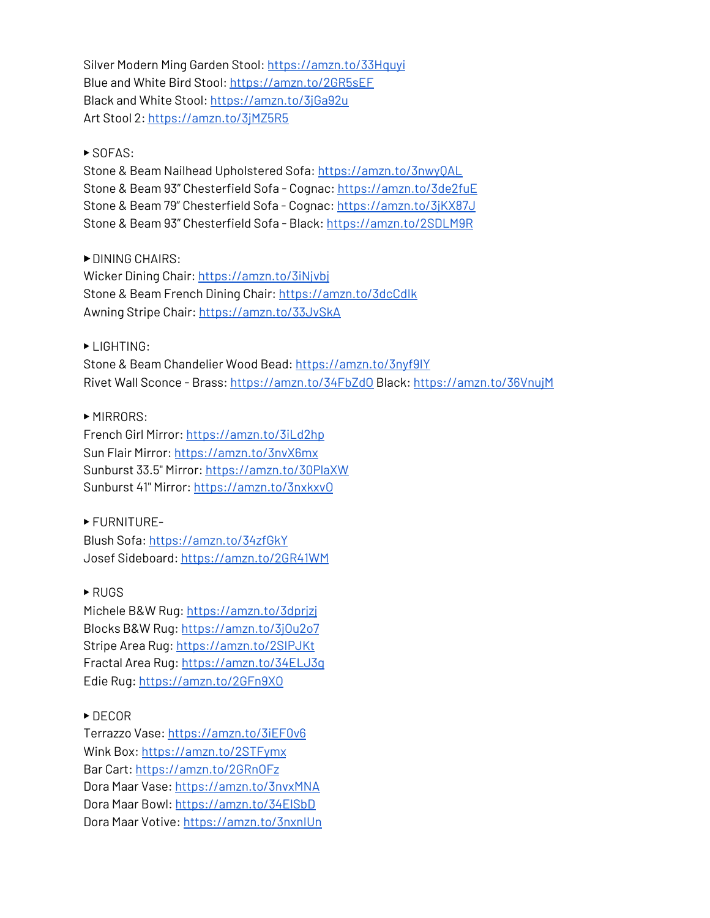Silver Modern Ming Garden Stool: [https://amzn.to/33Hquyi](https://www.youtube.com/redirect?event=video_description&redir_token=QUFFLUhqbXVGYW5KMmhFa2t4WmlwQXM3b0J1VS00Ym53d3xBQ3Jtc0trVVhOSzBPcW9GdGJ2Sm5Wem81QTJpRGVIbUQ0LUJKc1VmUER4em5pSG5hcXNzbmh4azNmOHJUTzFhc0Nfc0xTXzFrNVhIVTdwN0pnemJpWXlPRDhCT21SMWs4RUFHRjMxVWIxNWtYc2NMMG9Ha1NxYw&q=https%3A%2F%2Famzn.to%2F33Hquyi) Blue and White Bird Stool[:](https://www.youtube.com/redirect?event=video_description&redir_token=QUFFLUhqbnVLQ2x6cVVPbnQySFl0cW9BcmRzVTVPUVdVUXxBQ3Jtc0tuSDFUOUI0SkEwWHNlWF9VRmF1blZPWlJTVTJzclEyZzdWaGZrdkdxeG9fNnZFbWJRWG1NaW1XRGJ0aHd0UE1qQ3loMFYtSVlWeGRQQk1YR2Vsa2ZZMDFMWThRREJaOFl6VXpOWkQ4TmpOS2VVUVJQWQ&q=https%3A%2F%2Famzn.to%2F2GR5sEF) [https://amzn.to/2GR5sEF](https://www.youtube.com/redirect?event=video_description&redir_token=QUFFLUhqbnVLQ2x6cVVPbnQySFl0cW9BcmRzVTVPUVdVUXxBQ3Jtc0tuSDFUOUI0SkEwWHNlWF9VRmF1blZPWlJTVTJzclEyZzdWaGZrdkdxeG9fNnZFbWJRWG1NaW1XRGJ0aHd0UE1qQ3loMFYtSVlWeGRQQk1YR2Vsa2ZZMDFMWThRREJaOFl6VXpOWkQ4TmpOS2VVUVJQWQ&q=https%3A%2F%2Famzn.to%2F2GR5sEF) Black and White Stool: [https://amzn.to/3jGa92u](https://www.youtube.com/redirect?event=video_description&redir_token=QUFFLUhqa051UHViaTgzeDhNcWJreGlYdklDbkhMLWZuUXxBQ3Jtc0tuOGJBeXRZdU9VWkZseVZoNnUtdU1UYzFsZHZuNkx1aXJWemg4Qmx2NFVVVGc1MFlvQk9TR192eG9saVNxdExVdVJpY3lwdWw5ZTdDZGlPcUlYTFpKY0J2UEd3dUk5aEZ2eVp0Sk8xTF9XNS1naUJtaw&q=https%3A%2F%2Famzn.to%2F3jGa92u) Art Stool 2[:](https://www.youtube.com/redirect?event=video_description&redir_token=QUFFLUhqa1NCdE44VXRNUTU3dEQ2RlBXQ0JhYVNwOVBJUXxBQ3Jtc0tsN3drRXM2SFlDZEhWV1o1WHQyR0tYY0d1X3Y1M09hUExnRHFob0FUMUxyT2h1N0I4NUhEOUV6cFJhR0pmSnp5VXM1RkpQZ1RoZ1hpRkEyQlBWemZpdXpWYzdGOWpvSHc0Tzh0ODNDdHhwUDdDeEJUNA&q=https%3A%2F%2Famzn.to%2F3jMZ5R5) [https://amzn.to/3jMZ5R5](https://www.youtube.com/redirect?event=video_description&redir_token=QUFFLUhqa1NCdE44VXRNUTU3dEQ2RlBXQ0JhYVNwOVBJUXxBQ3Jtc0tsN3drRXM2SFlDZEhWV1o1WHQyR0tYY0d1X3Y1M09hUExnRHFob0FUMUxyT2h1N0I4NUhEOUV6cFJhR0pmSnp5VXM1RkpQZ1RoZ1hpRkEyQlBWemZpdXpWYzdGOWpvSHc0Tzh0ODNDdHhwUDdDeEJUNA&q=https%3A%2F%2Famzn.to%2F3jMZ5R5)

#### ▶ SOFAS:

Stone & Beam Nailhead Upholstered Sofa: [https://amzn.to/3nwyQAL](https://www.youtube.com/redirect?event=video_description&redir_token=QUFFLUhqbndBS2pybzE2Q2dydHdZZ3o3XzRBelhsS2NCQXxBQ3Jtc0ttSGJHdGdQZXlEWHQ4N3RwYzBUTV9Sd1IxNnlVeTRmUUp3ekVya3RYWFpWOVM2UFNVQlZTRnowQm1DSFd0aUZDV0RxSTZReldQdTF1Sl9pUTlqM1RmSEZ1VVpMM0hLakp4UDcwbklQZXY1N1ZTcmVQTQ&q=https%3A%2F%2Famzn.to%2F3nwyQAL) Stone & Beam 93" Chesterfield Sofa - Cognac[:](https://www.youtube.com/redirect?event=video_description&redir_token=QUFFLUhqbTJ0akJJbnNVQWF5ckVSQVNvSDdvSnBCbUNFUXxBQ3Jtc0trbnVGOF9oRmZnQWNuRFZhVlJyS2o3WjllTWtsUGI4WU9IMDhPUEwwN2xzOHhVZXZmSTBid3lCWEw0VmlGWUt4QjBsREtuMHNoVDRKdjBxWkhhOWZ5VnpiaWpWdkc0akFYSU1nLVlNVWo4QmJoWUdFVQ&q=https%3A%2F%2Famzn.to%2F3de2fuE) [https://amzn.to/3de2fuE](https://www.youtube.com/redirect?event=video_description&redir_token=QUFFLUhqbTJ0akJJbnNVQWF5ckVSQVNvSDdvSnBCbUNFUXxBQ3Jtc0trbnVGOF9oRmZnQWNuRFZhVlJyS2o3WjllTWtsUGI4WU9IMDhPUEwwN2xzOHhVZXZmSTBid3lCWEw0VmlGWUt4QjBsREtuMHNoVDRKdjBxWkhhOWZ5VnpiaWpWdkc0akFYSU1nLVlNVWo4QmJoWUdFVQ&q=https%3A%2F%2Famzn.to%2F3de2fuE) Stone & Beam 79" Chesterfield Sofa - Cognac: [https://amzn.to/3jKX87J](https://www.youtube.com/redirect?event=video_description&redir_token=QUFFLUhqbVFRUGFDdDFRcWFDcS1KNDlsblhlMHRQbTljZ3xBQ3Jtc0ttSnJxV015ODlqaFRfWkxkZU1ybXlIV2ZGTVNXRXBOMUh1R2t1MjBPNmFOdTJGTEJOT2xmMHdGXzIxbVB1N1JjN1dxd0ZETEZqNy1XUkI0VUpYemtSQ0JVNjlYcU55dWprNElYakZDN3VOeTk1alpLcw&q=https%3A%2F%2Famzn.to%2F3jKX87J) Stone & Beam 93" Chesterfield Sofa - Black: [https://amzn.to/2SDLM9R](https://www.youtube.com/redirect?event=video_description&redir_token=QUFFLUhqbmZST0hRS2VrbDBGNDNYWWFpT09qZkFsQ09vZ3xBQ3Jtc0tsVlRuUS0wQzVvbjVhUTFGcXg0ZUdRY3E4Y1pySHhGYkhZX1c4bV9laktCaWo0cFhPYm1lbjY3X043Zzk5U0tHeDk2UlNJa1JsSllaVmNEY0V2cnNBVXlTdWpkbkZqRHU3dDl0MHRzcl9YaFJhNVltWQ&q=https%3A%2F%2Famzn.to%2F2SDLM9R)

▶ DINING CHAIRS:

Wicker Dining Chair: [https://amzn.to/3iNjvbj](https://www.youtube.com/redirect?event=video_description&redir_token=QUFFLUhqbGg3U2hFM29oSTM5YlpVVFNxOWhoYXJEUDlMUXxBQ3Jtc0trZERJcW45cFlERlhPTXRjY2NfblI3ZmphbXlMS1RKR3J3NzdCY3BVVkNfTzh3MXZNMTcwQTBGWkg5MHhkekEtMnB3UjBNa3Y1azFYVVlZYi1JT1RYbXc5TUFucWJyWTdBOEtTaWJYWTBpZGpTWVFsbw&q=https%3A%2F%2Famzn.to%2F3iNjvbj) Stone & Beam French Dining Chair[:](https://www.youtube.com/redirect?event=video_description&redir_token=QUFFLUhqbV9RVnlnMVc3N2FIUEZQbnQxaEQxMmNPRUEtZ3xBQ3Jtc0tuaGd2NTEzVlMxWVJPbWVNZ0xZcXJJUFJuUnpDVERSbmc0VzlvX2NjSEZyX1J5YlFnMWJnSnhyOURtOGFIUTh5cFFDekhpTnkyajlJbE9fV3lSaGxyNW9wR19PNXdYMGZ3dk1pRGVLeWtBNHVFN2JiYw&q=https%3A%2F%2Famzn.to%2F3dcCdIk) [https://amzn.to/3dcCdIk](https://www.youtube.com/redirect?event=video_description&redir_token=QUFFLUhqbV9RVnlnMVc3N2FIUEZQbnQxaEQxMmNPRUEtZ3xBQ3Jtc0tuaGd2NTEzVlMxWVJPbWVNZ0xZcXJJUFJuUnpDVERSbmc0VzlvX2NjSEZyX1J5YlFnMWJnSnhyOURtOGFIUTh5cFFDekhpTnkyajlJbE9fV3lSaGxyNW9wR19PNXdYMGZ3dk1pRGVLeWtBNHVFN2JiYw&q=https%3A%2F%2Famzn.to%2F3dcCdIk) Awning Stripe Chair: [https://amzn.to/33JvSkA](https://www.youtube.com/redirect?event=video_description&redir_token=QUFFLUhqbXFDaU04cXJsQ3piYkJJQnYzNmFIeG5mc25ZZ3xBQ3Jtc0ttek42ZUUwTnZNVmJ1bFlDdlJjdjk0cTEwQTZOWnY3TFp1OWU5OXYxNVZGSHZzclp5NzlVa2Y4TWdRSms1dTF6Q1FHeTg3cWVXYTNjaXhEZ3FGbWRfdUpOMFVzejdqdTJjQTZtcWZJR0xsMVU5bUxWZw&q=https%3A%2F%2Famzn.to%2F33JvSkA)

▶ LIGHTING:

Stone & Beam Chandelier Wood Bead: [https://amzn.to/3nyf9IY](https://www.youtube.com/redirect?event=video_description&redir_token=QUFFLUhqa213UWhiQ0JvQzRuRXh0X3hsZW1SRmNHQzVkUXxBQ3Jtc0tuQ2lnM1FDLTh1dlJVYW1zVXhsOEtIdEJBRVJsOTdGU1U0VDR6dG1UamY2TUk0dXlCN1JEci1ITDJnc2NGaWxBUE1nVUpTNno5bEc1X3MyRkczbXNOeXZCdl9ZRmx5XzE5cmVWMTJiTGZlUldwRzBjNA&q=https%3A%2F%2Famzn.to%2F3nyf9IY) Rivet Wall Sconce - Brass[:](https://www.youtube.com/redirect?event=video_description&redir_token=QUFFLUhqbWY3bFlmRDZTalFOYXRtdVlXbElmcFg5UzhwZ3xBQ3Jtc0tsTXhMQWF0SU44QXk0cmg4T3N2OU0tSkoyZ3M4YXlWYzJCSU1Td0N6U2FkNTRkeU9kTlF2RWV0M0VoRUVoWlYxNmVQUDRFV1B5STJ2OXd1YWJPdHBVQnZSR2Z3OFUxaXNyM2I3VnhIb05xRHBGMlVSaw&q=https%3A%2F%2Famzn.to%2F34FbZdO) [https://amzn.to/34FbZdO](https://www.youtube.com/redirect?event=video_description&redir_token=QUFFLUhqbWY3bFlmRDZTalFOYXRtdVlXbElmcFg5UzhwZ3xBQ3Jtc0tsTXhMQWF0SU44QXk0cmg4T3N2OU0tSkoyZ3M4YXlWYzJCSU1Td0N6U2FkNTRkeU9kTlF2RWV0M0VoRUVoWlYxNmVQUDRFV1B5STJ2OXd1YWJPdHBVQnZSR2Z3OFUxaXNyM2I3VnhIb05xRHBGMlVSaw&q=https%3A%2F%2Famzn.to%2F34FbZdO) Black: [https://amzn.to/36VnujM](https://www.youtube.com/redirect?event=video_description&redir_token=QUFFLUhqbmRTRlJzZXQzeGtybG1kaHpBejFjeUdvOEFWUXxBQ3Jtc0tsWm9mcFlKWjNfQmtIemE5X2d0RzlEcHphUlJ2aFRzSFBuc08xaVJBZ3YyVkZ5TWQzNmhPVzZqR3dzeGJ5QVNIaXZ6R19URjlDeWhwZGYyMXlaN0hOWTFoN1FmdlRtR29aWkJWOUNYWU5UakUxZjd4SQ&q=https%3A%2F%2Famzn.to%2F36VnujM)

▶ MIRRORS:

French Girl Mirror[:](https://www.youtube.com/redirect?event=video_description&redir_token=QUFFLUhqbFZUdjFBSFNvcExuR3REUUxvYWYzb3ljV25NZ3xBQ3Jtc0trS2NEdmRlVFowWlRKY25RWmpMa1RCUi0zTFdScFQ0NnV3ci1YQ0dISVJTYW14ekhSVndnUTJqZWhrWWZtSzBMUWc3UndlbkJ2Sk82eDdZRmRhV1E3d1Zwc3VUVGtQYjZLdUhmeXp2YzFHRGNoTnRlRQ&q=https%3A%2F%2Famzn.to%2F3iLd2hp) [https://amzn.to/3iLd2hp](https://www.youtube.com/redirect?event=video_description&redir_token=QUFFLUhqbFZUdjFBSFNvcExuR3REUUxvYWYzb3ljV25NZ3xBQ3Jtc0trS2NEdmRlVFowWlRKY25RWmpMa1RCUi0zTFdScFQ0NnV3ci1YQ0dISVJTYW14ekhSVndnUTJqZWhrWWZtSzBMUWc3UndlbkJ2Sk82eDdZRmRhV1E3d1Zwc3VUVGtQYjZLdUhmeXp2YzFHRGNoTnRlRQ&q=https%3A%2F%2Famzn.to%2F3iLd2hp) Sun Flair Mirror: [https://amzn.to/3nvX6mx](https://www.youtube.com/redirect?event=video_description&redir_token=QUFFLUhqbGtodDdLZHd3U3JPdXFiMF9IakkxVzBZOG1ZUXxBQ3Jtc0treGh5Q1RpWG15enBqMEZ4bmRzbUJlUDBwZUhnTXk5Qm1SeEZCM2FXUjJCZ0V2Nm1zNHRqWXpidmwwUXJKcFJIV0lUcEdobXVQaEdwei1Mbkk1OW1ITnZLU1VmVlV2REJJZDNoR29zdW5NMGtBdlpvYw&q=https%3A%2F%2Famzn.to%2F3nvX6mx) Sunburst 33.5" Mirror[:](https://www.youtube.com/redirect?event=video_description&redir_token=QUFFLUhqa1UwaklWRlVqMkpnTWtQZFcwd3diWERfWW00QXxBQ3Jtc0ttLUwzMGZaTVNLQ2tmMzUwaXRiRjZmZVJYOVB5WFVMd3d0cUZ3SHliODJsSnQ3LTR3ZGt4UDQyOXZIcGJvMVBHb1JVQ3MyYUZibVBpQ0puU2hMbVNEcG94QnliUXdrM3NIRjBUUEVVcEtWRjlWODBHQQ&q=https%3A%2F%2Famzn.to%2F30PlaXW) [https://amzn.to/30PlaXW](https://www.youtube.com/redirect?event=video_description&redir_token=QUFFLUhqa1UwaklWRlVqMkpnTWtQZFcwd3diWERfWW00QXxBQ3Jtc0ttLUwzMGZaTVNLQ2tmMzUwaXRiRjZmZVJYOVB5WFVMd3d0cUZ3SHliODJsSnQ3LTR3ZGt4UDQyOXZIcGJvMVBHb1JVQ3MyYUZibVBpQ0puU2hMbVNEcG94QnliUXdrM3NIRjBUUEVVcEtWRjlWODBHQQ&q=https%3A%2F%2Famzn.to%2F30PlaXW) Sunburst 41" Mirror: [https://amzn.to/3nxkxvO](https://www.youtube.com/redirect?event=video_description&redir_token=QUFFLUhqbGNvTlRsYVUzdnYxR2RfYVNuektxVHVfRGxQUXxBQ3Jtc0tucGkyT1QxejNOSU1oYkt2NGRWT01BeEVrbkM4Ukl0dm5CMHoxb1pGckpZQ01reTItbmNueGFSXy1Femo5eU9yYXdlcW8wM1hzZTE3akNYMUtPOVRIX3k0NWlncXVGb0toUlRDZnV5dE0wV2VMMUNESQ&q=https%3A%2F%2Famzn.to%2F3nxkxvO)

▶ FURNITURE-Blush Sofa: [https://amzn.to/34zfGkY](https://www.youtube.com/redirect?event=video_description&redir_token=QUFFLUhqbkFhSUo2MlR1S3ZyMmxscnZJNTA4eFBGVFFrZ3xBQ3Jtc0ttTTlTSWEyang5VFo4UEgxMVZyQlFQeVhVTDhBRHduRjBwMjFJOVN3OUkxN1J0R0J3NFg0T0ptUXdpd0dtbkVVMlFLeG8wZ3c5b3BqOUxaS19IWmFEMTNPTXBVWnBLcUdMWUFwakprUGlSNi1tNEVrNA&q=https%3A%2F%2Famzn.to%2F34zfGkY) Josef Sideboard[:](https://www.youtube.com/redirect?event=video_description&redir_token=QUFFLUhqbWFxaGp0eHpVUFhWaHZiUUdkQjlWckRLWTFPd3xBQ3Jtc0ttRjhVY0F3ZllHQU54SjkwMXRfaGxBa1JIYU9VS2Rpc2lDXzY0X3ozZHJzang3SEQyUEdMN1E1TzFjbjViQl93RWEyQ3Rub3B0Qi1pbUpwc0pYaWprVFdMOExBVW82VnRsc0hiaVVDODNTU1RERDQxVQ&q=https%3A%2F%2Famzn.to%2F2GR41WM) [https://amzn.to/2GR41WM](https://www.youtube.com/redirect?event=video_description&redir_token=QUFFLUhqbWFxaGp0eHpVUFhWaHZiUUdkQjlWckRLWTFPd3xBQ3Jtc0ttRjhVY0F3ZllHQU54SjkwMXRfaGxBa1JIYU9VS2Rpc2lDXzY0X3ozZHJzang3SEQyUEdMN1E1TzFjbjViQl93RWEyQ3Rub3B0Qi1pbUpwc0pYaWprVFdMOExBVW82VnRsc0hiaVVDODNTU1RERDQxVQ&q=https%3A%2F%2Famzn.to%2F2GR41WM)

▶ RUGS

Michele B&W Rug: [https://amzn.to/3dprjzj](https://www.youtube.com/redirect?event=video_description&redir_token=QUFFLUhqbENEc2NaS1NpOVk3N3ZWQVFXWDctYnZPZklld3xBQ3Jtc0trS0tpSEYwMGxDcEJpUGpfUjRGd1BDRGJ3NHJ2UXl1dTFTSVEyU1BySEhMNWp6Z1R1M1ZHOFRaQlhPUDA4cTNZTllEcjRFOUk1VHJnZDFkNXByX2djaU9RcWxMNEp0dExENGhrTmRaUjFWODloYlVVOA&q=https%3A%2F%2Famzn.to%2F3dprjzj) Blocks B&W Rug: [https://amzn.to/3jOu2o7](https://www.youtube.com/redirect?event=video_description&redir_token=QUFFLUhqa2REbC02X0U3VUE1MTFqamotalJQT2Q5ZmVoQXxBQ3Jtc0ttMHJaSG9qYVYyUDEyalF6TW8ySnFJeWt3Yi1heXRDUFlyZXhicmZFcEkyQ1BrQXFfSmlpZHdzWmh4d09la25Bb1lZblN3OVlwZ1JMSlV5NnFDUUx3clZHTVRHS2JYaER4c19tYUtOT2tBd2c5MGtvbw&q=https%3A%2F%2Famzn.to%2F3jOu2o7) Stripe Area Rug: [https://amzn.to/2SIPJKt](https://www.youtube.com/redirect?event=video_description&redir_token=QUFFLUhqbjJpZkRFck1UUTVUZnFiUElISmhuNW1yX3VhZ3xBQ3Jtc0tudjZlSHJ1Zklic0ROQkNYSU43VVBtMGs5NDNiZDBPOGNoLU5CNzk3aHAyMVBDb2FMUnA4VnlneEoyVi14dHpxRmk4Z1RJU1hsdFRsb2lRcExmTmF3cmM3M1NEQVpSSHo5M3YxNUxQekVZRV9Rd0lfWQ&q=https%3A%2F%2Famzn.to%2F2SIPJKt) Fractal Area Rug[:](https://www.youtube.com/redirect?event=video_description&redir_token=QUFFLUhqbXJ5Y0xFMk8zeThiMnVQOHJIc1pKUUFSaThhUXxBQ3Jtc0ttV044SlBIR25wOXBWSVozNHpLS3IxcFM5MHJyTnQzX0VsMVo2a0xSM2lmQk5lRkhYeVBUU3JFSjhuTXF0Q25tUU5YMEdOV0hCZjZrWmZHaWROSEdPWi1oQWctbmQ0bDlURExpRlBueWQwLW9GcldRbw&q=https%3A%2F%2Famzn.to%2F34ELJ3g) [https://amzn.to/34ELJ3g](https://www.youtube.com/redirect?event=video_description&redir_token=QUFFLUhqbXJ5Y0xFMk8zeThiMnVQOHJIc1pKUUFSaThhUXxBQ3Jtc0ttV044SlBIR25wOXBWSVozNHpLS3IxcFM5MHJyTnQzX0VsMVo2a0xSM2lmQk5lRkhYeVBUU3JFSjhuTXF0Q25tUU5YMEdOV0hCZjZrWmZHaWROSEdPWi1oQWctbmQ0bDlURExpRlBueWQwLW9GcldRbw&q=https%3A%2F%2Famzn.to%2F34ELJ3g) Edie Rug: [https://amzn.to/2GFn9XO](https://www.youtube.com/redirect?event=video_description&redir_token=QUFFLUhqbnhMZTBNU2NDRHdUM2NkbVF1YUUzVktoVWV6d3xBQ3Jtc0ttek8tWi13aTFhS3hkMHdTeEM4dDBLR3EtajlPeXpBUzhLVlRsWlFxRVRadVhITFl1X29sZmE5cDh6Y0JxUHBtc0YwUzRCejU2SnBZQzlid09vV2NDRG9YT1QycWNGdkJaY1I2ellCT0FpeVRHcjJlMA&q=https%3A%2F%2Famzn.to%2F2GFn9XO)

## ▶ DECOR

Terrazzo Vase[:](https://www.youtube.com/redirect?event=video_description&redir_token=QUFFLUhqbXY0Q3J4QlRac2cwV1Juc0lZZTNfQXBxT0Jkd3xBQ3Jtc0ttdi1yQnRZckxZMTA3NVNKQ256NnB4TWVibk9HSFJhb0ZuTjV6VEFYakFhRE13cGt4TVNLaUt0NmVjRHhSdTFHa3ZoQVZ3YXVWUExaWEQzMklXdTJXaGswcGpoSjZQUnVhYU9vMjhSeThEVldBVDQwbw&q=https%3A%2F%2Famzn.to%2F3iEF0v6) [https://amzn.to/3iEF0v6](https://www.youtube.com/redirect?event=video_description&redir_token=QUFFLUhqbXY0Q3J4QlRac2cwV1Juc0lZZTNfQXBxT0Jkd3xBQ3Jtc0ttdi1yQnRZckxZMTA3NVNKQ256NnB4TWVibk9HSFJhb0ZuTjV6VEFYakFhRE13cGt4TVNLaUt0NmVjRHhSdTFHa3ZoQVZ3YXVWUExaWEQzMklXdTJXaGswcGpoSjZQUnVhYU9vMjhSeThEVldBVDQwbw&q=https%3A%2F%2Famzn.to%2F3iEF0v6) Wink Box: [https://amzn.to/2STFymx](https://www.youtube.com/redirect?event=video_description&redir_token=QUFFLUhqblVwYU5rSUtReW9FS2VIT0NSbC1Hanl4SHBoUXxBQ3Jtc0ttUFhNbWJ1NnAwcm54VWxxczdmb3hPQ0lMMzFYMl94RlE5bjNyZnF2OUc0VG1PYVY3cVE2OEcyUDY5NndXaXcxSE9aUUlGcnp0Z0ZQZEhSbl9ZRURkb2JIZDZLdE5QWkpXczdLSVlBWkJka2lDV3c5NA&q=https%3A%2F%2Famzn.to%2F2STFymx) Bar Cart: [https://amzn.to/2GRnOFz](https://amzn.to/2GRnOFz%E2%80%8B) Dora Maar Vase[:](https://www.youtube.com/redirect?event=video_description&redir_token=QUFFLUhqblBoMHo3cXhXUmoxRFdnWUROVWJmV0w4Z2FtUXxBQ3Jtc0ttSmFzSGQ4NmZ0TXRZZ0FhLThnZE5VbDNRczN3Q29qOEp1R01XS2FQb0VuZjJrQWsyQ2t0VlhWUkltdnN1NHJTY1l4akxRZ3liUWJHb2UyOWd3SjZscVNXVlFMd1VvTHdJN2RkYmdCekMzTmdlNXE1MA&q=https%3A%2F%2Famzn.to%2F3nvxMNA) [https://amzn.to/3nvxMNA](https://www.youtube.com/redirect?event=video_description&redir_token=QUFFLUhqblBoMHo3cXhXUmoxRFdnWUROVWJmV0w4Z2FtUXxBQ3Jtc0ttSmFzSGQ4NmZ0TXRZZ0FhLThnZE5VbDNRczN3Q29qOEp1R01XS2FQb0VuZjJrQWsyQ2t0VlhWUkltdnN1NHJTY1l4akxRZ3liUWJHb2UyOWd3SjZscVNXVlFMd1VvTHdJN2RkYmdCekMzTmdlNXE1MA&q=https%3A%2F%2Famzn.to%2F3nvxMNA) Dora Maar Bowl: [https://amzn.to/34ElSbD](https://www.youtube.com/redirect?event=video_description&redir_token=QUFFLUhqa0tSYmZabG9fS3FmcFNFbDM4UjlPSmQwcjZ3QXxBQ3Jtc0tuelRTX08zNjhDWC1DLTcwaW5rcGl0SVJPR3RFWVo2YUw3X0V2STZ5Ull1T01PeUotajdadVJkVWVRSjBLREpSdkwyY0o4R01ZWXlSbmhWTnE3dXREZmx3SVBDMXgxOWN2RE5KMFZSRTNLNGtFUUxqMA&q=https%3A%2F%2Famzn.to%2F34ElSbD) Dora Maar Votive: [https://amzn.to/3nxnIUn](https://www.youtube.com/redirect?event=video_description&redir_token=QUFFLUhqbnRUMEJyQ25veFlSSnNyY2hKRFVpTWE4RkNtUXxBQ3Jtc0tseW5mSnNvWEVrSWxsN0dQNXROR0FXWC1XUnd2UnBEN3RHbVFvWGdQWk1KT1NsN2p5d0NGNnUydGkwTjdvT19uUHl6QklySFNWQkRLZkdOZHZWQ1NJa082MmlVc0RtUXUyWUhfYUdHa0hPZlYzU1l1MA&q=https%3A%2F%2Famzn.to%2F3nxnIUn)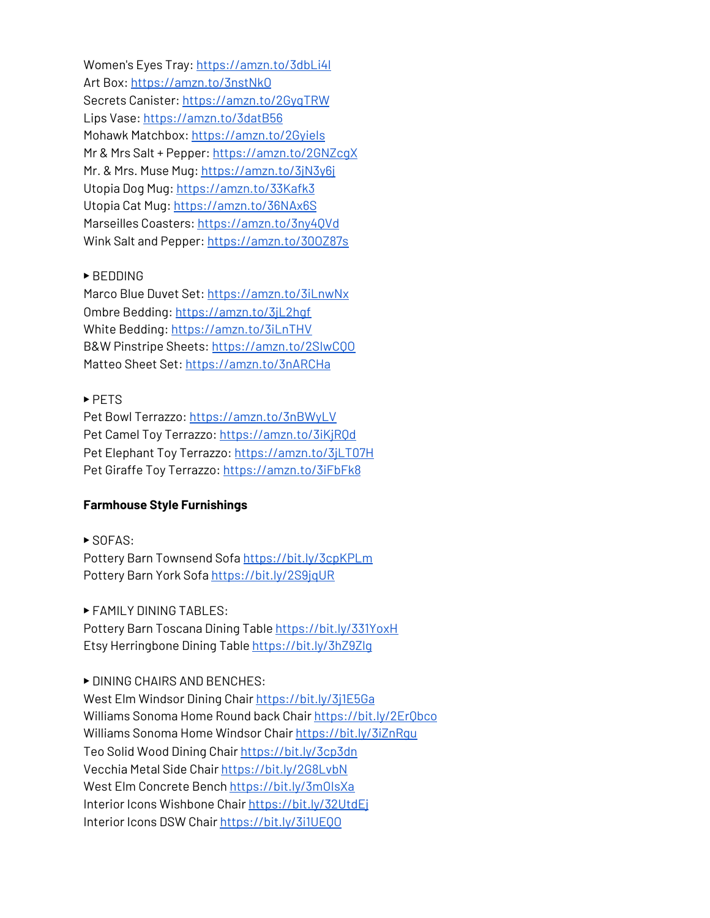Women's Eyes Tray: [https://amzn.to/3dbLi4l](https://www.youtube.com/redirect?event=video_description&redir_token=QUFFLUhqazEwZEhqU0gyUXBhT3gydTB1bWJQX2tpQjJhQXxBQ3Jtc0tsTGJnSmlzblNqX2ZpcXVZM0pWb0xiNVJDLVU0U1ZhcjFLZ0cyNTFDZUVGa01JRnB4ZENSNklPaS16TkJxVG5CVmw1cmhoYmZIb1ZHNmdBVGxQMXZLbHhHX1NGQXNmMF9VY2N1VTc0U0pzMm5GcnRRSQ&q=https%3A%2F%2Famzn.to%2F3dbLi4l) Art Box: [https://amzn.to/3nstNkO](https://www.youtube.com/redirect?event=video_description&redir_token=QUFFLUhqa1VoZml4a3ZQUDdraDNrLWlBMEZlVENJNlpWd3xBQ3Jtc0trbXNjN3Q4LXVlcEVaY2dtS1VvVWFfcjdKOXRScnJ5VUIzUWcyWjlraUJ0R3dzcFlyc01YdjBnOXlDaDYzS1ZUM0U2UHNyVEVUZUU5dW1RZ3FDR3VxbW1QdDNqUnRNY2EzLTQ2Z1ZacHJEbUx5aU1oWQ&q=https%3A%2F%2Famzn.to%2F3nstNkO) Secrets Canister: [https://amzn.to/2GygTRW](https://www.youtube.com/redirect?event=video_description&redir_token=QUFFLUhqbEN5WVdyQWNEd0wxRG56OUF3TVAyVzdzNzQ2Z3xBQ3Jtc0tta0pTSE5KNTJZNEotQThQaVI5ajRBUE04V2J1M3dZUlFSSUF2LUswQ3FydGMtckpaUXctRUVNNzFxdHlMeXp6SDRQY1gtMElCdU0yOHV0ejNEdTUzQXlMZTFHWGNuVUk5N3IwX01tLVRCREZqNGpTcw&q=https%3A%2F%2Famzn.to%2F2GygTRW) Lips Vase: [https://amzn.to/3datB56](https://www.youtube.com/redirect?event=video_description&redir_token=QUFFLUhqa0p4bkFxYnVHVkRzZTBXZHVBRWFkdDZ0LTV3d3xBQ3Jtc0trSk9SeWpDZzh5N2x4VG8wb0Q0TEVhWXo2Y0FhV0NIRlZtN1ZBUnZIYnE3NjY0YXNGMEJqS2F1UGpUNEtTX1RmNl9oSFR3SlZLTkpHRldzekhWU00tRDFBMGVlbGxpWnJkbmV5UVRLN0lfZm1kOXZaaw&q=https%3A%2F%2Famzn.to%2F3datB56) Mohawk Matchbox[:](https://www.youtube.com/redirect?event=video_description&redir_token=QUFFLUhqbmhERnNTMnNadGgzTDV1Vk1fUVVfSTVuaVk4d3xBQ3Jtc0tsT2I5NExiYzd3MktuYzNUTXA4SXVYdmZRVUs0T2hrZDdwWTVBd2ZVekV4X1Fya05FUjlzdXZWVHVuNnBpYVlZSFBwR3pmcVBYNFpRR0owTUFFcVRKOEdJZXVTS2JKVE90YnFNWVRUcFloNWlpRVFsaw&q=https%3A%2F%2Famzn.to%2F2GyieIs) [https://amzn.to/2GyieIs](https://www.youtube.com/redirect?event=video_description&redir_token=QUFFLUhqbmhERnNTMnNadGgzTDV1Vk1fUVVfSTVuaVk4d3xBQ3Jtc0tsT2I5NExiYzd3MktuYzNUTXA4SXVYdmZRVUs0T2hrZDdwWTVBd2ZVekV4X1Fya05FUjlzdXZWVHVuNnBpYVlZSFBwR3pmcVBYNFpRR0owTUFFcVRKOEdJZXVTS2JKVE90YnFNWVRUcFloNWlpRVFsaw&q=https%3A%2F%2Famzn.to%2F2GyieIs) Mr & Mrs Salt + Pepper: [https://amzn.to/2GNZcgX](https://www.youtube.com/redirect?event=video_description&redir_token=QUFFLUhqbHpKMnVXRWttS1FKUm1aV3FUSHhDdHpDcDNSd3xBQ3Jtc0tuLVBCZWNWRUdJeUdoYnRXNG9MNGt4TWVlYWt3VGRMa1d1dm5MbDJDVTh3MEFxXzJmZ2RUNWNrZHBpU2JlUUZXUTJYVmd4UVg4VElfemNaUlZkcm01dW04RHBibnFYbWpfSTgyczNrMHgtbFZ6aENTQQ&q=https%3A%2F%2Famzn.to%2F2GNZcgX) Mr. & Mrs. Muse Mug: [https://amzn.to/3jN3y6j](https://www.youtube.com/redirect?event=video_description&redir_token=QUFFLUhqbVRmZkU4c3RmdUg0ZlZNMERHcENxUlBZcTFVQXxBQ3Jtc0trX0FOalZkeU5YcGtVS3FtUV9sNmRoV1dUdUN6djdPMGZBSVNxUHRjUWd3MTNFWHFYYXY0anlQOGc3UVN2S1lxTGlVY0dVVTliWE9feFBCZUJ4dHZOejl1Nm9FdXJZeEEtZzJhWVlSTUFtUzJUYmRrdw&q=https%3A%2F%2Famzn.to%2F3jN3y6j) Utopia Dog Mug[:](https://www.youtube.com/redirect?event=video_description&redir_token=QUFFLUhqbHNWTC1LbWdidU9HYnNac1p0LWxTTHBZT1BIZ3xBQ3Jtc0ttOFRCZGdjcVNhc1Qxc0dOVUJ6b0pKc1ZRUjQwcHRVcXczSm1uaXNMM3BHR0pITjFkYXhseG1RT05PRTFiWnROZ0YwWjhIRHVka0JEQmdLcjNXT1RUcWZJcHV6TmdDeGRtMGUxYnVyZlhQQldEQUxiMA&q=https%3A%2F%2Famzn.to%2F33Kafk3) [https://amzn.to/33Kafk3](https://www.youtube.com/redirect?event=video_description&redir_token=QUFFLUhqbHNWTC1LbWdidU9HYnNac1p0LWxTTHBZT1BIZ3xBQ3Jtc0ttOFRCZGdjcVNhc1Qxc0dOVUJ6b0pKc1ZRUjQwcHRVcXczSm1uaXNMM3BHR0pITjFkYXhseG1RT05PRTFiWnROZ0YwWjhIRHVka0JEQmdLcjNXT1RUcWZJcHV6TmdDeGRtMGUxYnVyZlhQQldEQUxiMA&q=https%3A%2F%2Famzn.to%2F33Kafk3) Utopia Cat Mug: [https://amzn.to/36NAx6S](https://www.youtube.com/redirect?event=video_description&redir_token=QUFFLUhqazhOZ29tTGdPNXN1M1I1ZVhmRDhlSW9ybE1VQXxBQ3Jtc0tsYW54WERaLTNlRVN5dEgtRWtUcENiMGpKVExqLVozV1htckdDVnBmRDE4UWF5ZDdxZmczR0lCU3VFbTRpd0pBdUdianUxVEY5MEt4WHRNYmdnZUtzby16bmRGSVpyNHZiRWYydkN4VEFXTWo1Rk5Waw&q=https%3A%2F%2Famzn.to%2F36NAx6S) Marseilles Coasters[:](https://www.youtube.com/redirect?event=video_description&redir_token=QUFFLUhqbUtsazNwVnJKWFFSY3VZUkJUbmtra3NldXdvQXxBQ3Jtc0tsX1RqOUNRMlpYSWdaWnBDOXRkWFVNWHJmb1U2STNoMXpLMUdjZ3c3V3k5OWctV1Njb1lTQzE5SXp1Z3ZxdGVHVWR1TmxDUGh1R3I0YmdvT202Um5YcDBqUnkyNUR4bmluQkZTZ2t2SFlJdjRPYVNkSQ&q=https%3A%2F%2Famzn.to%2F3ny4QVd) [https://amzn.to/3ny4QVd](https://www.youtube.com/redirect?event=video_description&redir_token=QUFFLUhqbUtsazNwVnJKWFFSY3VZUkJUbmtra3NldXdvQXxBQ3Jtc0tsX1RqOUNRMlpYSWdaWnBDOXRkWFVNWHJmb1U2STNoMXpLMUdjZ3c3V3k5OWctV1Njb1lTQzE5SXp1Z3ZxdGVHVWR1TmxDUGh1R3I0YmdvT202Um5YcDBqUnkyNUR4bmluQkZTZ2t2SFlJdjRPYVNkSQ&q=https%3A%2F%2Famzn.to%2F3ny4QVd) Wink Salt and Pepper: [https://amzn.to/30OZ87s](https://www.youtube.com/redirect?event=video_description&redir_token=QUFFLUhqa085UUpuMkU3N0NpR25vVnpqNlBJdlgtbkpPd3xBQ3Jtc0tsdENrMmR4MGFtU2FnUVpycTJNX2F5eVk2R1V4WmNBWHBySWgzT0drYV84Z2MtT2V0bjUySkE1eXpnd0x2dW82UENPOWtBMzRab2wzdXhCZjlaUFNsWGIzZzNiVXdVWks3VmtPV3l6aHA1R3p1TDNRMA&q=https%3A%2F%2Famzn.to%2F30OZ87s)

#### ▶ BEDDING

Marco Blue Duvet Set: [https://amzn.to/3iLnwNx](https://www.youtube.com/redirect?event=video_description&redir_token=QUFFLUhqbk5fX3VwRlZ4Z2NJU0VQMFZCc3VnRDJSc1lZd3xBQ3Jtc0tuWHNWRzN1WlVrbzM1Q0RpWld1OVdCdmtmR1d4TnlRT1cxY1J4dDZZQ2J2N1hzQV9URHE4YnRWcVNzQ2tWSVNlYnlwQWIzcGZ4RTJ4c2tuMG5RSjNrVXJNTTFGVEJjeGxTRlFfNWxmRzg4VTBGcDAxOA&q=https%3A%2F%2Famzn.to%2F3iLnwNx) Ombre Bedding: [https://amzn.to/3jL2hgf](https://www.youtube.com/redirect?event=video_description&redir_token=QUFFLUhqbGJoS3V2Mk9EdUlpX2VGTzF6VEFWM2hvTFphUXxBQ3Jtc0tsVU1WSjRJSTVJSXhSZVdfclZwMmZaNjhZLUxGRFJQRVBoUUZ3a2thTldPVElCaHlHWG9KY3B3dVZ1bDlZZThfaFlwT3dxOFI4Rlh6VEZxcUt2MlJyYmIwam0yc0JlVDdlZ0o2RTh0eDhhejJ3eG9VRQ&q=https%3A%2F%2Famzn.to%2F3jL2hgf) White Bedding: [https://amzn.to/3iLnTHV](https://www.youtube.com/redirect?event=video_description&redir_token=QUFFLUhqbEFwVDNfRnMtcThNY3ZFV1pYZzZ6MW5HZVBWUXxBQ3Jtc0tuQ1RRZTk5bTRxZ01JdkxvbkhidGN6aVZra3VqOE1wUzl1SUtHTTlhQ1I5Vi11Y09hLWtpNEE1SklvWGJLSTZTT0hzSFFtUlEwNEY1TlZrNHlxWEdiV213QWVURnRwLWkzR3lYY2tKVzFpS1RPa2VuZw&q=https%3A%2F%2Famzn.to%2F3iLnTHV) B&W Pinstripe Sheets: [https://amzn.to/2SIwCQO](https://www.youtube.com/redirect?event=video_description&redir_token=QUFFLUhqbVJLcGVXTHNFY2lwY29aWnQ3WW9JWnRJZnc5d3xBQ3Jtc0tsUXdteFdPRkVFeXVPTW1TTUtCZl9Sa2xGSGpxQklwVnpxQV9sQ0pGeE1FelhzamJiN0pfOGdWUlRUcFdKa21haXYtZnEyUUQ1NTJvRVZ3SWRQdlJXQ3Zha2Z4STRtUGxYNUlZUG1nVFVodmpvMUhtMA&q=https%3A%2F%2Famzn.to%2F2SIwCQO) Matteo Sheet Set: [https://amzn.to/3nARCHa](https://www.youtube.com/redirect?event=video_description&redir_token=QUFFLUhqbmNUT1dhT0xHRVpOdEdvUDI5NkVPdE11UWUwd3xBQ3Jtc0tsc29NVm5OcWhRMGNkb1FrYk40V2RnTkxFdFVmUHJsTHp4cGJaMjF0NThranZTMGdFU2VqcG1TYkpEcE9zcEg1MmsycnY2R2RiSTJZZWt0WWs3OW1OX0hObVpRZEN1bjd1TENQLXlaMTN0eDRCMDItcw&q=https%3A%2F%2Famzn.to%2F3nARCHa)

#### ▶ PETS

Pet Bowl Terrazzo: [https://amzn.to/3nBWyLV](https://www.youtube.com/redirect?event=video_description&redir_token=QUFFLUhqbXJBNVlZLV9KNE84ZE9QOTZ5clZRWXN5YS1uZ3xBQ3Jtc0ttVGxOMDIxYUJ6TDZNRlcyNXZaNjhQVm1yNEMwbHhOV3BvQXNZbDN0eEhOUzdBbEYzd0IwVlFfMkpYYTBPenJzaWp4WnFLeU9qam5Ka01oSU9MQ1NXVktfa2ZiSXB6eXBOWjA4eXZDbTZOUVNjSnVUcw&q=https%3A%2F%2Famzn.to%2F3nBWyLV) Pet Camel Toy Terrazzo: [https://amzn.to/3iKjRQd](https://www.youtube.com/redirect?event=video_description&redir_token=QUFFLUhqbHJzYWxUbjc5NFBZOVFhU0l2NDBya1dvNTFDZ3xBQ3Jtc0trVDFBNVJkTFlQWTVyMkpUdkEzYXFJTGlvVVpNTFQzUHduMFVXTENfM0gwUXVzb1lVX0k3UlZ5X0JDQ1BCWjN6Y0ZqRmFZQTVfcHYtSmktelBJbDBqNDB1aWt1dGpDSVQwdjZjanQ2QldNMndxY09Daw&q=https%3A%2F%2Famzn.to%2F3iKjRQd) Pet Elephant Toy Terrazzo[:](https://www.youtube.com/redirect?event=video_description&redir_token=QUFFLUhqbEs5dFpFdExjaGdiSnlmX2h4dS0tRXZDVlB0UXxBQ3Jtc0trRXMteGlqV0s1bzRWa1p0VWZzM0J3UV92WThFNmpwXzNqcU9ONlViMW5tem5YbG9nZDNXY0F6RlV1TjlLUmtUTkU0R2tFWkF3V056Snl4VTZaNTEzM0RVM1UxUEFVN2ZnQ0I1NXl1dHhzX0oyRWtMYw&q=https%3A%2F%2Famzn.to%2F3jLT07H) [https://amzn.to/3jLT07H](https://www.youtube.com/redirect?event=video_description&redir_token=QUFFLUhqbEs5dFpFdExjaGdiSnlmX2h4dS0tRXZDVlB0UXxBQ3Jtc0trRXMteGlqV0s1bzRWa1p0VWZzM0J3UV92WThFNmpwXzNqcU9ONlViMW5tem5YbG9nZDNXY0F6RlV1TjlLUmtUTkU0R2tFWkF3V056Snl4VTZaNTEzM0RVM1UxUEFVN2ZnQ0I1NXl1dHhzX0oyRWtMYw&q=https%3A%2F%2Famzn.to%2F3jLT07H) Pet Giraffe Toy Terrazzo: <https://amzn.to/3iFbFk8>

#### **Farmhouse Style Furnishings**

#### ▶ SOFAS:

Pottery Barn Townsend Sofa [https://bit.ly/3cpKPLm](https://www.youtube.com/redirect?event=video_description&redir_token=QUFFLUhqbVpyVnJxcHcxUFdvU182WFhPZmRjUEhrU1RwUXxBQ3Jtc0ttMTc3cGl6Q3hKcmpFekc0N0I0YUhyXzFwbkw1eWs0Tkp1RXBDYlVqNWlzN1Q5UTJWVFR1VGpKeTdaWm9OejRfQ0dTbUxTeUFOSU04UkVhQUZGZTJkbFFsMFlqTFNPNndiU1hWSW1ISUpkNGVmWWpMVQ&q=https%3A%2F%2Fbit.ly%2F3cpKPLm) Pottery B[a](https://www.youtube.com/redirect?event=video_description&redir_token=QUFFLUhqbXZ6TmZFTzVSc2YyRmVhYmdNVkZoMHlrRHhYUXxBQ3Jtc0tsMkI2dGJsd1ByRzhIQ2NUTHIwWmtlRDY5aTExaXU0bUNBQzJ5OUphY3Q5aXJ2Umw2T3JlczVRcUx1Wlc0eFNUb0VweWI1M1BydnJsUmtENmdEZHZHWXY0RkM1ZHduQzlPbkNYMFAzeDB4Y0lNbWZ0NA&q=https%3A%2F%2Fbit.ly%2F2S9jqUR)rn York Sofa [https://bit.ly/2S9jqUR](https://www.youtube.com/redirect?event=video_description&redir_token=QUFFLUhqbXZ6TmZFTzVSc2YyRmVhYmdNVkZoMHlrRHhYUXxBQ3Jtc0tsMkI2dGJsd1ByRzhIQ2NUTHIwWmtlRDY5aTExaXU0bUNBQzJ5OUphY3Q5aXJ2Umw2T3JlczVRcUx1Wlc0eFNUb0VweWI1M1BydnJsUmtENmdEZHZHWXY0RkM1ZHduQzlPbkNYMFAzeDB4Y0lNbWZ0NA&q=https%3A%2F%2Fbit.ly%2F2S9jqUR)

▶ FAMILY DINING TABLES:

Pottery Barn Toscana Dining Table [https://bit.ly/331YoxH](https://www.youtube.com/redirect?event=video_description&redir_token=QUFFLUhqbTNEc3FyekRtOGJiR1h4Z1NrSjNBM3UydGV3Z3xBQ3Jtc0trT3BBcWNrTk5lcF95Uld4U2VUaVpyb19zNW5MWWFpbVctQW9nT1YyeFZpcWM1WDFnQ0JQWVRxeGZERzFhVDl3UlY0Yl9ORFp1SUNYQzRUaGctWV95NjAtZC1FT3h6a3BwUGFuWVpIeXZ4UU1STGlkZw&q=https%3A%2F%2Fbit.ly%2F331YoxH) Etsy Herringbone Dining Tabl[e](https://www.youtube.com/redirect?event=video_description&redir_token=QUFFLUhqa1ZWejUyNkQ3NTJHczdWQVBQeWlSZV8tN2pUd3xBQ3Jtc0ttVDR2X1BuSHpHMnl6d2xzTGxzUG52VG94U0QxNlY2Z1o4MUE0T1Z6eV9vSWJGZVVxLWg3R2tCcnYzNU5SWTlaQW5pTFdpakF5NWU4OFRPQVhSVzhMZG94Z29ZbTlnd25FZ29aYkhQYW1mekFUVlBWOA&q=https%3A%2F%2Fbit.ly%2F3hZ9Zlg) [https://bit.ly/3hZ9Zlg](https://www.youtube.com/redirect?event=video_description&redir_token=QUFFLUhqa1ZWejUyNkQ3NTJHczdWQVBQeWlSZV8tN2pUd3xBQ3Jtc0ttVDR2X1BuSHpHMnl6d2xzTGxzUG52VG94U0QxNlY2Z1o4MUE0T1Z6eV9vSWJGZVVxLWg3R2tCcnYzNU5SWTlaQW5pTFdpakF5NWU4OFRPQVhSVzhMZG94Z29ZbTlnd25FZ29aYkhQYW1mekFUVlBWOA&q=https%3A%2F%2Fbit.ly%2F3hZ9Zlg)

## ▶ DINING CHAIRS AND BENCHES:

West Elm Windsor Dining Chair [https://bit.ly/3j1E5Ga](https://www.youtube.com/redirect?event=video_description&redir_token=QUFFLUhqbmROZnlDMHVqRlExLW11SVlVR1R2UTVlQldsZ3xBQ3Jtc0tuMW91LUhFbURFbTRXSWxUR1d4NXp3aGVQeWZheFVvT1dFa1Z4VVY5QWZzc3BrYXlWc3dwUnpHUVdMYXZwZWI3UGpuZlQ1c0xCdlp2Z0pwSEtCZDI1Tk12NzExMHVxNmdFMG9qSFN2d2dnLTkxSzdJYw&q=https%3A%2F%2Fbit.ly%2F3j1E5Ga) Williams Sonoma Home Round back Chai[r](https://www.youtube.com/redirect?event=video_description&redir_token=QUFFLUhqblVMdjhHVUJoQlNrcTcxcE8zckxONVlaaE9zUXxBQ3Jtc0ttOXk2WjNoeEZpcTRTeHBUYk5kZ054NHowNWEzRE1qaGRIVVN5T2tXaWFfTnBBVVhPT3FJcE9wMGs3WG1GZHozMlB1QUQtellBdmlHM0syVk5OQUZSMVlEU3FLdlctckNEaGxxTzdwb1FtYUpIOWJQVQ&q=https%3A%2F%2Fbit.ly%2F2ErQbco) [https://bit.ly/2ErQbco](https://www.youtube.com/redirect?event=video_description&redir_token=QUFFLUhqblVMdjhHVUJoQlNrcTcxcE8zckxONVlaaE9zUXxBQ3Jtc0ttOXk2WjNoeEZpcTRTeHBUYk5kZ054NHowNWEzRE1qaGRIVVN5T2tXaWFfTnBBVVhPT3FJcE9wMGs3WG1GZHozMlB1QUQtellBdmlHM0syVk5OQUZSMVlEU3FLdlctckNEaGxxTzdwb1FtYUpIOWJQVQ&q=https%3A%2F%2Fbit.ly%2F2ErQbco) Williams Sonoma Home Windsor Chair [https://bit.ly/3iZnRgu](https://bit.ly/3iZnRgu%E2%80%8B) Teo Solid Wood Dining Chair [https://bit.ly/3cp3dn](https://www.youtube.com/redirect?event=video_description&redir_token=QUFFLUhqbW5OaGIzYUJIMjFJWnhuTzdLSlBZNjZiMm9Bd3xBQ3Jtc0tsWTZqckxveU1HazhJTlREXzBTRUJ6SEVUbHpwSEtLZzJtMm4xWDFKWVJMUEhDeHdYQXpteFFrQXBOalNBelVGTUVObjBiS013Q2tEVWhyVTktRl80NGRPZGNhTnFveW8tMU54SGlXQXFNWjd4SWphMA&q=https%3A%2F%2Fbit.ly%2F3cp3dnu) Vecchia Metal Side Chair [https://bit.ly/2G8LvbN](https://www.youtube.com/redirect?event=video_description&redir_token=QUFFLUhqbDMxTXp5cUI5ZFJMYW5iaHBXV0hrakh3dmxOUXxBQ3Jtc0ttY1M5V05KQmJqVXQxWkt5WWdWZVFBZklYMHdfaHdYZkJVVU9CRzFhcnJkT0FHN25nN0dGcnJqYnlncUY5NXV1cklkVzJCZ0IzRjh3ODU3X3p5TEd3a0U2bTBab0p2SWZRU1FsVnUtVm5TYWVyN3lrMA&q=https%3A%2F%2Fbit.ly%2F2G8LvbN) West Elm Concrete Bench [https://bit.ly/3mOIsXa](https://www.youtube.com/redirect?event=video_description&redir_token=QUFFLUhqa3hnZjh5WEl4SnlZWEc0T0E2V2ZETHF1N3oxQXxBQ3Jtc0tsZDhabTM0U3VnM3VPWDFRUDJ2Q3pNQzdvNFNwZlY5S1UxSTY1bUltNG9SOVU0MjVSWHQyS2Z2YTVlNEVIX0Z2alRCblN1UjdjZGZIMEFZSU9XbW9xTmMwUXlpdC1lQ19PUDRLWU4tZEJ6N3AtaFNMbw&q=https%3A%2F%2Fbit.ly%2F3mOIsXa) Interior Icons Wishbone Chair [https://bit.ly/32UtdEj](https://www.youtube.com/redirect?event=video_description&redir_token=QUFFLUhqa0xwMmltY0JHcXhtMTlrOTZwWkxKQnZITmJFQXxBQ3Jtc0ttWkNzXy1YS0xjSG82Yk9iZ04tZTRWODc4ekRkTVNod0ZKZy1VLVprRFhGWUFQQ1lLZElJUmJOdGowQjhZTnQ2SHhzNW81bWRULTAxaE1RdmNZOXhmRmtOeUpuaW4zS2N3RFE5aXRlaTZjbWNZQy1nTQ&q=https%3A%2F%2Fbit.ly%2F32UtdEj) Interior Icons DSW Chair [https://bit.ly/3i1UEQO](https://www.youtube.com/redirect?event=video_description&redir_token=QUFFLUhqa3c1clh4cWpYXzhZclc4LUZHaG1ydlJidGh3Z3xBQ3Jtc0tsWWdrQVpLaFlZdEFrcGNvT2JabTFoQ2hYSjE1T1lpLTJyU054aVBXQzhYOTJ4WGhtakRlcUdXQ1JvRjhudkhfS1pFUjQxOFlPWnc4cnZ2Z0k4TVcxOFVzY3dQQkJuZGdaRDh1VnBib2RYV2lXRWZPQQ&q=https%3A%2F%2Fbit.ly%2F3i1UEQO)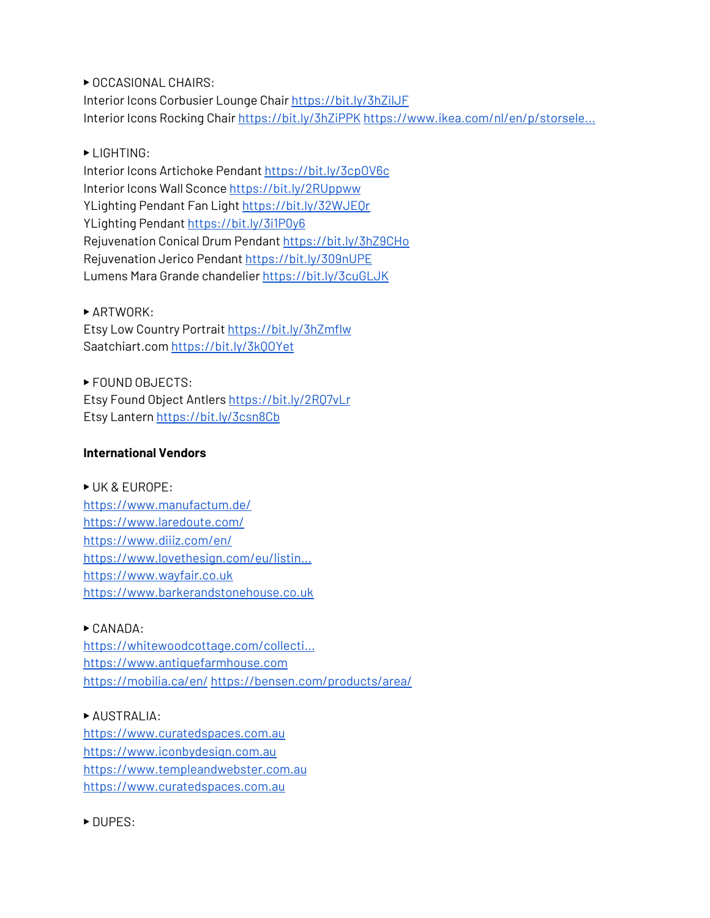▶ OCCASIONAL CHAIRS: Inte[r](https://www.youtube.com/redirect?event=video_description&redir_token=QUFFLUhqbVMyMkEyOFhwZEtjUjA1Uzh5RHhoTXhCU1NId3xBQ3Jtc0ttWG9BV3llWC1TQ3JmYTg2RGRtVU1NeXFhQXFTQmlPaW9TUWlmV2VBbmtKS1VkZ19RbkFoNFhPN05VcDY1bDVZWExVMnpYNjk5akhsRFNkc0E3eFRLZzdGNlNNTjJ6elZ2bHF1cDRpOXk1NU9OVnk5bw&q=https%3A%2F%2Fbit.ly%2F3hZilJF)ior Icons Corbusier Lounge Chair [https://bit.ly/3hZilJF](https://www.youtube.com/redirect?event=video_description&redir_token=QUFFLUhqbVMyMkEyOFhwZEtjUjA1Uzh5RHhoTXhCU1NId3xBQ3Jtc0ttWG9BV3llWC1TQ3JmYTg2RGRtVU1NeXFhQXFTQmlPaW9TUWlmV2VBbmtKS1VkZ19RbkFoNFhPN05VcDY1bDVZWExVMnpYNjk5akhsRFNkc0E3eFRLZzdGNlNNTjJ6elZ2bHF1cDRpOXk1NU9OVnk5bw&q=https%3A%2F%2Fbit.ly%2F3hZilJF) Interior Icons Rocking Chair [https://bit.ly/3hZiPPK](https://www.youtube.com/redirect?event=video_description&redir_token=QUFFLUhqbTNwb0d3R3hFbmt1emRmQXZ1dVpNMHQzQmhwUXxBQ3Jtc0tuaDRGMjJibFFkLS1KZDlaTDVFbmZ2clhGcXhaanNCTHJZUnIzcWlLb3BCS2Z6cjNyX3dQYmkyTnM0U0dfRC1wOWFYYXBWdVozdEtxNl9wcUlTa2lDbzF2Z3A1WmhUTWJ2OUhwekdieWdLZURJNWdDdw&q=https%3A%2F%2Fbit.ly%2F3hZiPPK) [https://www.ikea.com/nl/en/p/storsele...](https://www.youtube.com/redirect?event=video_description&redir_token=QUFFLUhqa2R1QkNiX1JIQmc0RWplRm5iR2o4TGMxTUpaUXxBQ3Jtc0tuRjROdnhTY2g1c2NXYU15eERKVjFvdkJoZnMwOXpaRTdIRGtWLUlLOHRlT3Q0eXhDR3lVVXlFSVFwWFJoS3d6XzJabUFlMm1IRG1yVGhEbVlxWkxvdGw2aFRKajVMTGVjUUJDcGFZZW94RXJNb3lSSQ&q=https%3A%2F%2Fwww.ikea.com%2Fnl%2Fen%2Fp%2Fstorsele-high-back-armchair-black-rattan-20201682%2F)

## ▶ LIGHTING:

Interior Icons Artichoke Pendan[t](https://www.youtube.com/redirect?event=video_description&redir_token=QUFFLUhqbXFTRVNETTZES19xUXpBZTVQUTZWbTRGMURZZ3xBQ3Jtc0trazdjMm5lUUg3V1JyT2NrSFRWeXFPZVJrODRYZ2VCZjg0VUVqTDdaeEtnb0V6MWZLYlNHOFZCeFcwYnNIM3BsUFhpV3luc1o0QThseXhxOFg4WEdDRzBiMm9XRlhoel9kNWRrOWdPYi1GZE9vX0k3dw&q=https%3A%2F%2Fbit.ly%2F3cpOV6c) [https://bit.ly/3cpOV6c](https://www.youtube.com/redirect?event=video_description&redir_token=QUFFLUhqbXFTRVNETTZES19xUXpBZTVQUTZWbTRGMURZZ3xBQ3Jtc0trazdjMm5lUUg3V1JyT2NrSFRWeXFPZVJrODRYZ2VCZjg0VUVqTDdaeEtnb0V6MWZLYlNHOFZCeFcwYnNIM3BsUFhpV3luc1o0QThseXhxOFg4WEdDRzBiMm9XRlhoel9kNWRrOWdPYi1GZE9vX0k3dw&q=https%3A%2F%2Fbit.ly%2F3cpOV6c) Interior Icons Wall Sconce [https://bit.ly/2RUppww](https://www.youtube.com/redirect?event=video_description&redir_token=QUFFLUhqa2pQaUMwWWRLQTFXN09GcnFKWUVTT19IV2Zqd3xBQ3Jtc0tuMC1TZWtMY2NOZlU0S0JYQldwQk9TLXM1Z05mNHBnaG80ZXo0X1Voc2lUZmE4aUhjN1c3a2swU282S291UlNHSXF4MDNYNXY0d2M4cmdybEJ5ZEJ1dW1HcXpNa2NDY2o3ODNTQ2hEMjgweVpNUVRNOA&q=https%3A%2F%2Fbit.ly%2F2RUppww) YLighting Pendant Fan Light [https://bit.ly/32WJEQr](https://www.youtube.com/redirect?event=video_description&redir_token=QUFFLUhqbTZTb29yMEt4SlRuM0RVQ2RXQkNSbS16RldTUXxBQ3Jtc0tsSVZPVnh6clpIWVk2ZHlfWGQ3TklUbVlzelBkT25Db3hOVS1NM2RndEJRS2dmOTE3eDlpWHdwM0pLbmQxbGNfRVpvRi1PSHBpRDlKbzBXOVdVVG5NOTBtbjdFVG5UZHp0a1d5QnVzVncybVVac0p0UQ&q=https%3A%2F%2Fbit.ly%2F32WJEQr) YLighting Pendant <https://bit.ly/3i1P0y6> Rejuvenation Conical Drum Pendant [https://bit.ly/3hZ9CHo](https://www.youtube.com/redirect?event=video_description&redir_token=QUFFLUhqa0lwbW5rallHYWVHNGdzYk1HY2hyV2MyeTFFQXxBQ3Jtc0ttcGFidkZjVm4zRXltRGVwZkhtcUIxS3RqX1VLREJpeWMxbWxJU0pwWE9Tc3NnWGE5ZmdjSWhZNlZ5TEowcjVteUx5ZHNTWDN0VzFRb19wSFEzN0JvRm5XWmRuX3lYS250eE5SLVZFTkFnZE9SUU4yaw&q=https%3A%2F%2Fbit.ly%2F3hZ9CHo) Rejuvenation Jerico Pendan[t](https://www.youtube.com/redirect?event=video_description&redir_token=QUFFLUhqbURhVFFydVZuWDN4aFBlQ2FkNnhKRDlsWjJCZ3xBQ3Jtc0tremUyOFhGMUJmMTdXenRnanpRMTVsS0xBVDlkRk82M3VZdWl1c0hUQUVpb1BRb0VFSHlENjhicXQ5ZE5jLXpiN1ptV05FZEJpZkxVb2JoZTBYVTNUZ2pmRF9iTWxibFBjdGI5QlFfLUhJOEdaYjdQOA&q=https%3A%2F%2Fbit.ly%2F309nUPE) [https://bit.ly/309nUPE](https://www.youtube.com/redirect?event=video_description&redir_token=QUFFLUhqbURhVFFydVZuWDN4aFBlQ2FkNnhKRDlsWjJCZ3xBQ3Jtc0tremUyOFhGMUJmMTdXenRnanpRMTVsS0xBVDlkRk82M3VZdWl1c0hUQUVpb1BRb0VFSHlENjhicXQ5ZE5jLXpiN1ptV05FZEJpZkxVb2JoZTBYVTNUZ2pmRF9iTWxibFBjdGI5QlFfLUhJOEdaYjdQOA&q=https%3A%2F%2Fbit.ly%2F309nUPE) Lumens Mara Grande chandelie[r](https://www.youtube.com/redirect?event=video_description&redir_token=QUFFLUhqbGdqNEVuYlJYbG4zd0NrdjlkM2xvbE85OEdMZ3xBQ3Jtc0tseDk2cklWb0VxVGItNGlKbVp1dEU4RVJSaDFRZzEyNm1kb3d4YnVvaW9ramdTZGR0ZVAzYmpwcC1lbVpLOEFESUdmOVBBZnFKbjFDTllqM2RsQVRxalo2ZmpMOG16VTFndGwyc2t1SVdmZ0JsSDY3QQ&q=https%3A%2F%2Fbit.ly%2F3cuGLJK) [https://bit.ly/3cuGLJK](https://www.youtube.com/redirect?event=video_description&redir_token=QUFFLUhqbGdqNEVuYlJYbG4zd0NrdjlkM2xvbE85OEdMZ3xBQ3Jtc0tseDk2cklWb0VxVGItNGlKbVp1dEU4RVJSaDFRZzEyNm1kb3d4YnVvaW9ramdTZGR0ZVAzYmpwcC1lbVpLOEFESUdmOVBBZnFKbjFDTllqM2RsQVRxalo2ZmpMOG16VTFndGwyc2t1SVdmZ0JsSDY3QQ&q=https%3A%2F%2Fbit.ly%2F3cuGLJK)

#### ▶ ARTWORK:

Etsy Low Country Portrai[t](https://www.youtube.com/redirect?event=video_description&redir_token=QUFFLUhqa2paZDJYVVZ5S0VmeHFMbnNCaUh6ZEpoaHpUUXxBQ3Jtc0tucEoxN3Fjc1lsbGRZVk9vMlV6T2FuUldnd2FHYzN4bHZ4eU40bnk5ZlczYVZpUWpKSm9Xc3BGUXlRYVhYWU5JZHA3UTI3aVdyQmdzLTRsVzlERUx0cFE0bTA2VVBVWjhMdmItZkdHWWx0VEpsTUgybw&q=https%3A%2F%2Fbit.ly%2F3hZmflw) [https://bit.ly/3hZmflw](https://www.youtube.com/redirect?event=video_description&redir_token=QUFFLUhqa2paZDJYVVZ5S0VmeHFMbnNCaUh6ZEpoaHpUUXxBQ3Jtc0tucEoxN3Fjc1lsbGRZVk9vMlV6T2FuUldnd2FHYzN4bHZ4eU40bnk5ZlczYVZpUWpKSm9Xc3BGUXlRYVhYWU5JZHA3UTI3aVdyQmdzLTRsVzlERUx0cFE0bTA2VVBVWjhMdmItZkdHWWx0VEpsTUgybw&q=https%3A%2F%2Fbit.ly%2F3hZmflw) Saatchiart.com [https://bit.ly/3kQOYet](https://www.youtube.com/redirect?event=video_description&redir_token=QUFFLUhqa0duejJkN2lGZnFNZkNYUmdhcDhFRC1ZOVJFd3xBQ3Jtc0tuTUpwUlF5WkF1REFzQ0ZiYXpTVnZTZnJMN2Y5YjZBbW1UMktjYWxOTzhOcVBnWVIzT1BPWUxyQlcxbTVpYk5UaC1SZFo0UjBfd1ZvM2wyeDNTNUFnd3pRa0pfa2gycUYxek8yMm9WSU1DVmpMQjFsOA&q=https%3A%2F%2Fbit.ly%2F3kQOYet)

▶ FOUND OBJECTS: Etsy Found Object Antler[s](https://www.youtube.com/redirect?event=video_description&redir_token=QUFFLUhqbHYxM2w3TjRGQWtQSkMxZXI2WWJDSGpULXczZ3xBQ3Jtc0tsSlFPVzVEdGw2d0w1MUtNZmMwWkNzWlZKWVRXZXl5c242YkRqNnpQQUtoc1dqNVNPVlhtSWd0WG5NNGQ3N2tBT3hZcmhoSGg1ZGZQMFN4RnpYQ0tnd1A5LU80b0Y3TnRzUkItVmwwSXE3VjZSWUFaSQ&q=https%3A%2F%2Fbit.ly%2F2RQ7vLr) [https://bit.ly/2RQ7vLr](https://www.youtube.com/redirect?event=video_description&redir_token=QUFFLUhqbHYxM2w3TjRGQWtQSkMxZXI2WWJDSGpULXczZ3xBQ3Jtc0tsSlFPVzVEdGw2d0w1MUtNZmMwWkNzWlZKWVRXZXl5c242YkRqNnpQQUtoc1dqNVNPVlhtSWd0WG5NNGQ3N2tBT3hZcmhoSGg1ZGZQMFN4RnpYQ0tnd1A5LU80b0Y3TnRzUkItVmwwSXE3VjZSWUFaSQ&q=https%3A%2F%2Fbit.ly%2F2RQ7vLr) Etsy Lantern [https://bit.ly/3csn8Cb](https://www.youtube.com/redirect?event=video_description&redir_token=QUFFLUhqbWpVUGlhTHVvSjJSa25OWTc3VnZZd3hiXzRfUXxBQ3Jtc0trSV9uUkFQS0M1cmZBLXZyTXc5N2d0SE5ySXFuRC10QVNLdzdjZE91MEtpRHo4TW9idUxjd3owdlhqMERxT1d3ZU1XWWpzdTk1QVZRNlRaWmk1YTMxdFhidW9ITjJYRTBaWlNWVmN5dVpzLWt6eDJvMA&q=https%3A%2F%2Fbit.ly%2F3csn8Cb)

## **International Vendors**

▶ UK & EUROPE: [https://www.manufactum.de/](https://www.youtube.com/redirect?event=video_description&redir_token=QUFFLUhqbTV4SVIyVVZaVnZwQVhjc2FvdkpyU1gyd1J2UXxBQ3Jtc0trUnJObjhBS1NkTEtNNjYzam0yay1Xc1laSW12QlNjc2hPdnE5cW1tdXZmd19RLU1JVjlicjBvVjg0d3NRT1ZBRFlZdHFJQUZQUjJudnhGY0xhbHR0WUhHcjhPYWo5cUlNYkg5cV82NmxoMGxfekg5WQ&q=https%3A%2F%2Fwww.manufactum.de%2F) [https://www.laredoute.com/](https://www.youtube.com/redirect?event=video_description&redir_token=QUFFLUhqazAzblhEM2hfdEoySzN2NHBWeUJNOXAyYlNsZ3xBQ3Jtc0trb2VzLWlEWkVhUmFHbFR4TmIwdVhPTmE2eVRlWnFGdXp3dWdzYzVRNzk0UnZfSklXaW5yY2FmVjRuM3pTOXBfSVNtbmtVWGFMenFscmhHMUlWVUhSajBnZGdnRzBqY2VGeWFFRl8xeFpkSHRjTFBFUQ&q=https%3A%2F%2Fwww.laredoute.com%2F) [https://www.diiiz.com/en/](https://www.youtube.com/redirect?event=video_description&redir_token=QUFFLUhqa1dkZHlQazM2WkRNMXJMZUtNcDcxb2xES1Atd3xBQ3Jtc0tucmFYNXBtVGM0aXdoZGl0dXFERlRpNGw2RDhIWW1wS21iY0xObUlmVllXekNwZk9RNndmT2lNYkp4VVg2S1diQS1kLWI3bnE0akhoTWQ5MWd6ZFA2bU1KejlXd3NJUVBjOENKVmFDaDIwdHdkNURNWQ&q=https%3A%2F%2Fwww.diiiz.com%2Fen%2F) [https://www.lovethesign.com/eu/listin...](https://www.youtube.com/redirect?event=video_description&redir_token=QUFFLUhqbkl3Q2xsT0ZOeFN3NEFCb05tVTZPUEJJVDJqd3xBQ3Jtc0tsZWZrdXBJSFp6MGpwX0NiclBuRGpYT1U1cnhlMGJueTVIeFdMem9US0lxQVB0TFRPVUgtY1ZzanhwRE52M0FnbENDcTNNbWVkU2w1UnIwZjk2VGZjVE5qSGprVFFBS09RcW11aWFtdzFYZjhBZ01Jdw&q=https%3A%2F%2Fwww.lovethesign.com%2Feu%2Flisting%2Ffurniture) [https://www.wayfair.co.uk](https://www.youtube.com/redirect?event=video_description&redir_token=QUFFLUhqbFpMSnozNWNRUkFrNnpMU05RNHJqNFJROV9Pd3xBQ3Jtc0trVElYVEtnMXFaNDBEZnZWYkRjQXkyb0Nnb3VieFZDMFdDY1JFREwxQl9OYUZIV3V1WjFvc2ZTUWl4czYyVTlwbnV6NG95NWR6WUJEVm1naXR0a1c3NUdGa2p3ZDFGSTFCekVFT0lkUkdOd2pCcTAyNA&q=https%3A%2F%2Fwww.wayfair.co.uk) [https://www.barkerandstonehouse.co.uk](https://www.youtube.com/redirect?event=video_description&redir_token=QUFFLUhqbjNiSEs5YWlJUjRLQ3ZQMDhodE1QaDFKWTBiUXxBQ3Jtc0trekRlQTB5amZBdTc5OVB3LTN2bEJUcmxtRkU5UEE2OGR0OUk5cHVGdmR1bXRjMG1Jcm5aUDN4T1h1Y0xxTXY5UVhqY1d2WEVaR1VKQW9Fc0VKN1NsU2p2M0RKWHZPREhnTmtGRmRJemVBeDFoNGJqUQ&q=https%3A%2F%2Fwww.barkerandstonehouse.co.uk)

#### $\triangleright$  CANADA:

[https://whitewoodcottage.com/collecti...](https://www.youtube.com/redirect?event=video_description&redir_token=QUFFLUhqbnNteEdnQjBxamtTYUdSZmJ3c3hTOWMzMjI4QXxBQ3Jtc0tuY0RiZF9ibW5qd2d6VGQ4OXZkV1M1d0ZQVm9vSFVULXJKdmxUV0pyYlVJOEVOdUlYWGszYzZrWTVyNnI1RVBxR20xVFVHbXNnRmVOWm9vTmNXdlA2LTM3aUhaWEh5UU1EdU5BRC1tRkQxS2VMTGpLYw&q=https%3A%2F%2Fwhitewoodcottage.com%2Fcollections%2Fall) [https://www.antiquefarmhouse.com](https://www.youtube.com/redirect?event=video_description&redir_token=QUFFLUhqbTFGTFp2NmlZZVNFZW1kWTI0OFNrMEs2R0RsQXxBQ3Jtc0tsYTJwUm9sN01tOXZtODhDMndvcFoxbm5jQ0Z0ZXUwdzk0RXZhS1lOcDF5R1Y3YnVHa0g2czVlQzU2TjZZZUthX0U5M0ZuRHBYWTYxb2lNekxRXzMtcFVyZ0xVV2tIWGhORTFLSG4zNHdHeVJoc0Z6bw&q=https%3A%2F%2Fwww.antiquefarmhouse.com) [https://mobilia.ca/en/](https://www.youtube.com/redirect?event=video_description&redir_token=QUFFLUhqbjdGOU5feEk1TmZ3TjZkblU5VUdYQndqNGdXZ3xBQ3Jtc0ttN0VhUEx6QzlCQWNLMGo2RU9TN2RZT0VSb3pXYVE3MC02WFR5QVEzT1d6VVNHSWVUWWx3T3VReVBtU21sTFF3RUxIWEM2a0NNYjR0dENYYjFaMXE3VWFNcGdsNXBGVUZpRmp4cGUyQU5XczNoV29saw&q=https%3A%2F%2Fmobilia.ca%2Fen%2F) [https://bensen.com/products/area/](https://www.youtube.com/redirect?event=video_description&redir_token=QUFFLUhqblY3dHA3cUZLRWxWS1dRWkNLSjg0OENUbXpTUXxBQ3Jtc0ttZEZVRnB2WG1CdnM0WnVrUTd3N0xvcHA5TEtjY3JHVXhFTXhLNUN0VXhxUU1XTDNIamZmb2ZLVUlVakxPcFZoUENCdVkzQkpyVnpJVC0yVXpmY051UnJBYWFFZXc5ajdQX1lhZDJOTVFKOU0waWNkTQ&q=https%3A%2F%2Fbensen.com%2Fproducts%2Farea%2F)

## ▶ AUSTRALIA:

[https://www.curatedspaces.com.au](https://www.youtube.com/redirect?event=video_description&redir_token=QUFFLUhqa0N3SGhSczZiVENlY0RIQnVNRjljcVlqSGRmZ3xBQ3Jtc0tsZDBzemw2M3BQQUlKZElYcEp3RkJaU1VIZHY1czl3dUREdXJfY1ZzQ1g1OEtVeV9tLVBmQ2ZmbkNsU0tOV25PYnVxS1dNN2xpYTRDZmRSNjlvTWJsdmlJMXBZZDFaeXpMcDZmaXlDTzBQdVg4OWt0UQ&q=https%3A%2F%2Fwww.curatedspaces.com.au) [https://www.iconbydesign.com.au](https://www.youtube.com/redirect?event=video_description&redir_token=QUFFLUhqblhsNWJ3QmM5V3M4ZUdYWTFaRTNGWEhiS29yZ3xBQ3Jtc0tubDBORkpzOVNXYzVIbERSM2RIOGxiWWJHSVQtWE5oWG93bS1NNnpFOVlMUkNUYVZRb0t2c3VmNlNtb2FFVGd3LV9SZWxaR0dEWURJZ3hBMnZpTk94NDdyY0FnUDRQdVNOUEh6MHo3SkU1aElJWmx3TQ&q=https%3A%2F%2Fwww.iconbydesign.com.au) [https://www.templeandwebster.com.au](https://www.youtube.com/redirect?event=video_description&redir_token=QUFFLUhqbU1TeDVGb0p5UDgyTkNOTXFFakNQMDA2bEJwUXxBQ3Jtc0tsd1c5WE1KdDdSSWs5NTM0RktuOEpZRFUxYjBEVzVpdk5LTWdzOV9xZHU2TnRTT293VU15cWltSlZ5UTZ6cFo1SHdBNDNZMFlWWlFOek1PUmljOXlZTXZSV0oxVEF4VVBacER6UmdjM3FoSXgwM2ZORQ&q=https%3A%2F%2Fwww.templeandwebster.com.au) [https://www.curatedspaces.com.au](https://www.youtube.com/redirect?event=video_description&redir_token=QUFFLUhqbkRJXzVKSGwyMWlyVFhxZEdOY0lJTlBEbV9SQXxBQ3Jtc0tudFJvSU4wbUlGb3BRNDgzR0ZHT3M4bUNZcy1ybWpvMTNRUm5XVUZjNGNNU19ZOW9UWWR0cjdqUGtlVlhJUDI5VGtQLVdCM2RpRkVoM3kwalZkTDNWZjZVX2VQQ1dHYWZkeWZNOEl5a0Z6ZkFPemhhMA&q=https%3A%2F%2Fwww.curatedspaces.com.au)

▶ DUPES: